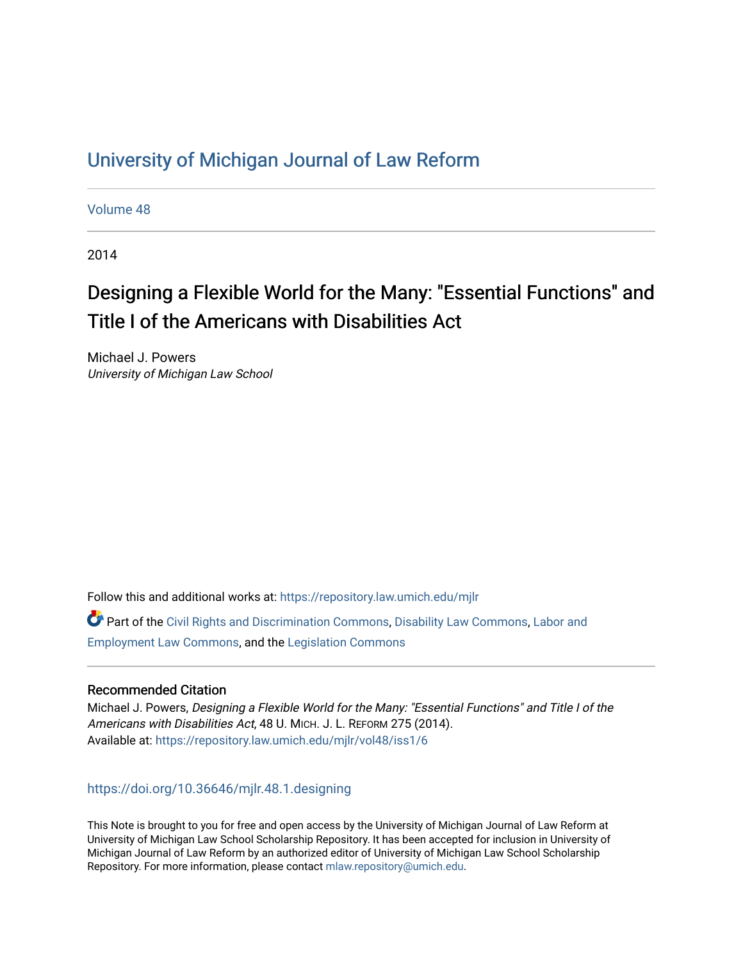## [University of Michigan Journal of Law Reform](https://repository.law.umich.edu/mjlr)

[Volume 48](https://repository.law.umich.edu/mjlr/vol48)

2014

# Designing a Flexible World for the Many: "Essential Functions" and Title I of the Americans with Disabilities Act

Michael J. Powers University of Michigan Law School

Follow this and additional works at: [https://repository.law.umich.edu/mjlr](https://repository.law.umich.edu/mjlr?utm_source=repository.law.umich.edu%2Fmjlr%2Fvol48%2Fiss1%2F6&utm_medium=PDF&utm_campaign=PDFCoverPages) 

Part of the [Civil Rights and Discrimination Commons,](https://network.bepress.com/hgg/discipline/585?utm_source=repository.law.umich.edu%2Fmjlr%2Fvol48%2Fiss1%2F6&utm_medium=PDF&utm_campaign=PDFCoverPages) [Disability Law Commons](https://network.bepress.com/hgg/discipline/1074?utm_source=repository.law.umich.edu%2Fmjlr%2Fvol48%2Fiss1%2F6&utm_medium=PDF&utm_campaign=PDFCoverPages), [Labor and](https://network.bepress.com/hgg/discipline/909?utm_source=repository.law.umich.edu%2Fmjlr%2Fvol48%2Fiss1%2F6&utm_medium=PDF&utm_campaign=PDFCoverPages) [Employment Law Commons](https://network.bepress.com/hgg/discipline/909?utm_source=repository.law.umich.edu%2Fmjlr%2Fvol48%2Fiss1%2F6&utm_medium=PDF&utm_campaign=PDFCoverPages), and the [Legislation Commons](https://network.bepress.com/hgg/discipline/859?utm_source=repository.law.umich.edu%2Fmjlr%2Fvol48%2Fiss1%2F6&utm_medium=PDF&utm_campaign=PDFCoverPages)

## Recommended Citation

Michael J. Powers, Designing a Flexible World for the Many: "Essential Functions" and Title I of the Americans with Disabilities Act, 48 U. MICH. J. L. REFORM 275 (2014). Available at: [https://repository.law.umich.edu/mjlr/vol48/iss1/6](https://repository.law.umich.edu/mjlr/vol48/iss1/6?utm_source=repository.law.umich.edu%2Fmjlr%2Fvol48%2Fiss1%2F6&utm_medium=PDF&utm_campaign=PDFCoverPages) 

<https://doi.org/10.36646/mjlr.48.1.designing>

This Note is brought to you for free and open access by the University of Michigan Journal of Law Reform at University of Michigan Law School Scholarship Repository. It has been accepted for inclusion in University of Michigan Journal of Law Reform by an authorized editor of University of Michigan Law School Scholarship Repository. For more information, please contact [mlaw.repository@umich.edu](mailto:mlaw.repository@umich.edu).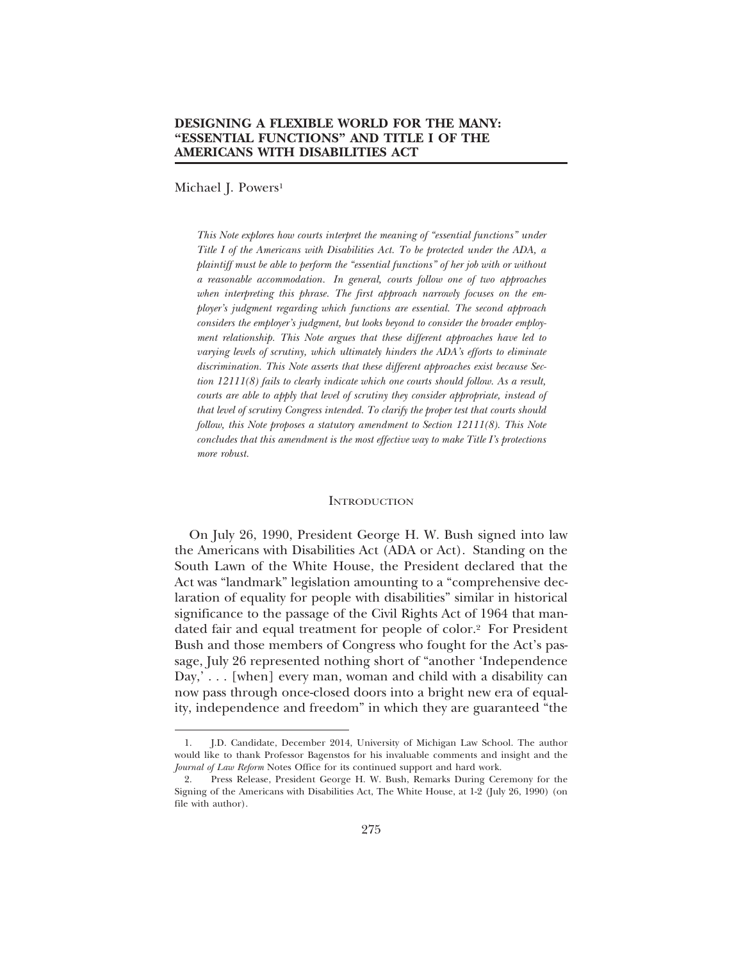Michael J. Powers<sup>1</sup>

*This Note explores how courts interpret the meaning of "essential functions" under Title I of the Americans with Disabilities Act. To be protected under the ADA, a plaintiff must be able to perform the "essential functions" of her job with or without a reasonable accommodation. In general, courts follow one of two approaches* when interpreting this phrase. The first approach narrowly focuses on the em*ployer's judgment regarding which functions are essential. The second approach considers the employer's judgment, but looks beyond to consider the broader employment relationship. This Note argues that these different approaches have led to varying levels of scrutiny, which ultimately hinders the ADA's efforts to eliminate discrimination. This Note asserts that these different approaches exist because Section 12111(8) fails to clearly indicate which one courts should follow. As a result, courts are able to apply that level of scrutiny they consider appropriate, instead of that level of scrutiny Congress intended. To clarify the proper test that courts should follow, this Note proposes a statutory amendment to Section 12111(8). This Note concludes that this amendment is the most effective way to make Title I's protections more robust.*

#### **INTRODUCTION**

On July 26, 1990, President George H. W. Bush signed into law the Americans with Disabilities Act (ADA or Act). Standing on the South Lawn of the White House, the President declared that the Act was "landmark" legislation amounting to a "comprehensive declaration of equality for people with disabilities" similar in historical significance to the passage of the Civil Rights Act of 1964 that mandated fair and equal treatment for people of color.2 For President Bush and those members of Congress who fought for the Act's passage, July 26 represented nothing short of "another 'Independence Day,' . . . [when] every man, woman and child with a disability can now pass through once-closed doors into a bright new era of equality, independence and freedom" in which they are guaranteed "the

<sup>1.</sup> J.D. Candidate, December 2014, University of Michigan Law School. The author would like to thank Professor Bagenstos for his invaluable comments and insight and the *Journal of Law Reform* Notes Office for its continued support and hard work.

<sup>2.</sup> Press Release, President George H. W. Bush, Remarks During Ceremony for the Signing of the Americans with Disabilities Act, The White House, at 1-2 (July 26, 1990) (on file with author).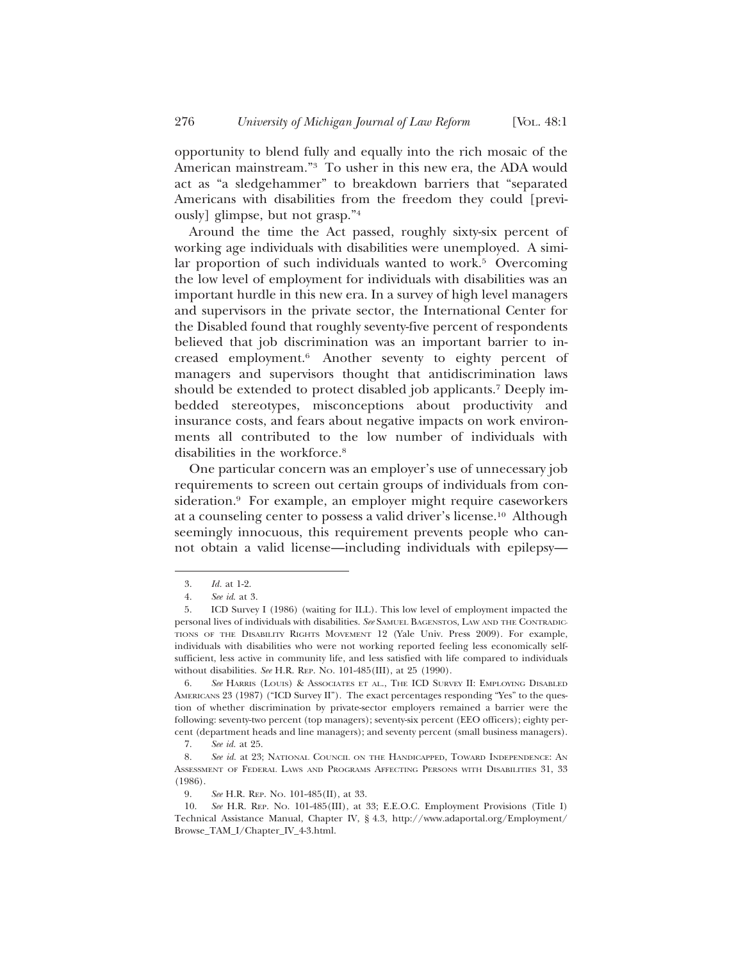opportunity to blend fully and equally into the rich mosaic of the American mainstream."3 To usher in this new era, the ADA would act as "a sledgehammer" to breakdown barriers that "separated Americans with disabilities from the freedom they could [previously] glimpse, but not grasp."4

Around the time the Act passed, roughly sixty-six percent of working age individuals with disabilities were unemployed. A similar proportion of such individuals wanted to work.<sup>5</sup> Overcoming the low level of employment for individuals with disabilities was an important hurdle in this new era. In a survey of high level managers and supervisors in the private sector, the International Center for the Disabled found that roughly seventy-five percent of respondents believed that job discrimination was an important barrier to increased employment.6 Another seventy to eighty percent of managers and supervisors thought that antidiscrimination laws should be extended to protect disabled job applicants.7 Deeply imbedded stereotypes, misconceptions about productivity and insurance costs, and fears about negative impacts on work environments all contributed to the low number of individuals with disabilities in the workforce.<sup>8</sup>

One particular concern was an employer's use of unnecessary job requirements to screen out certain groups of individuals from consideration.<sup>9</sup> For example, an employer might require caseworkers at a counseling center to possess a valid driver's license.10 Although seemingly innocuous, this requirement prevents people who cannot obtain a valid license—including individuals with epilepsy—

<sup>3.</sup> *Id.* at 1-2.

<sup>4.</sup> *See id*. at 3.

<sup>5.</sup> ICD Survey I (1986) (waiting for ILL). This low level of employment impacted the personal lives of individuals with disabilities. *See* SAMUEL BAGENSTOS, LAW AND THE CONTRADIC-TIONS OF THE DISABILITY RIGHTS MOVEMENT 12 (Yale Univ. Press 2009). For example, individuals with disabilities who were not working reported feeling less economically selfsufficient, less active in community life, and less satisfied with life compared to individuals without disabilities. *See* H.R. REP. NO. 101-485(III), at 25 (1990).

<sup>6.</sup> *See* HARRIS (LOUIS) & ASSOCIATES ET AL., THE ICD SURVEY II: EMPLOYING DISABLED AMERICANS 23 (1987) ("ICD Survey II"). The exact percentages responding "Yes" to the question of whether discrimination by private-sector employers remained a barrier were the following: seventy-two percent (top managers); seventy-six percent (EEO officers); eighty percent (department heads and line managers); and seventy percent (small business managers).

<sup>7.</sup> *See id.* at 25.

<sup>8.</sup> *See id.* at 23; NATIONAL COUNCIL ON THE HANDICAPPED, TOWARD INDEPENDENCE: AN ASSESSMENT OF FEDERAL LAWS AND PROGRAMS AFFECTING PERSONS WITH DISABILITIES 31, 33 (1986).

<sup>9.</sup> *See* H.R. REP. NO. 101-485(II), at 33.

<sup>10.</sup> *See* H.R. REP. NO. 101-485(III), at 33; E.E.O.C. Employment Provisions (Title I) Technical Assistance Manual, Chapter IV, § 4.3, http://www.adaportal.org/Employment/ Browse\_TAM\_I/Chapter\_IV\_4-3.html.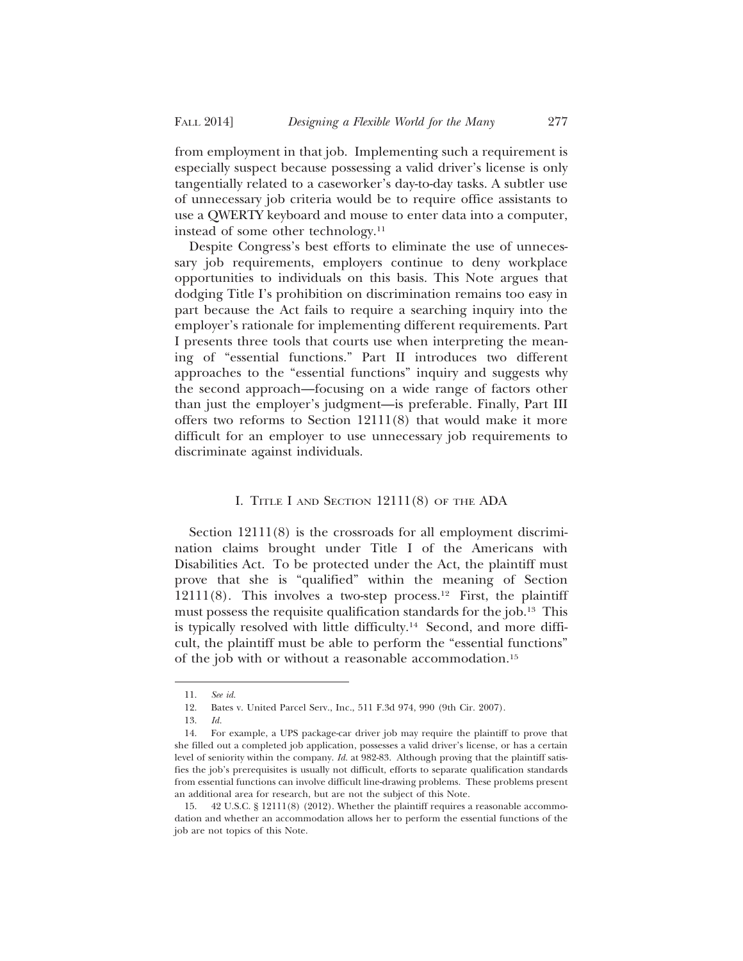from employment in that job. Implementing such a requirement is especially suspect because possessing a valid driver's license is only tangentially related to a caseworker's day-to-day tasks. A subtler use of unnecessary job criteria would be to require office assistants to use a QWERTY keyboard and mouse to enter data into a computer, instead of some other technology.11

Despite Congress's best efforts to eliminate the use of unnecessary job requirements, employers continue to deny workplace opportunities to individuals on this basis. This Note argues that dodging Title I's prohibition on discrimination remains too easy in part because the Act fails to require a searching inquiry into the employer's rationale for implementing different requirements. Part I presents three tools that courts use when interpreting the meaning of "essential functions." Part II introduces two different approaches to the "essential functions" inquiry and suggests why the second approach—focusing on a wide range of factors other than just the employer's judgment—is preferable. Finally, Part III offers two reforms to Section 12111(8) that would make it more difficult for an employer to use unnecessary job requirements to discriminate against individuals.

## I. TITLE I AND SECTION 12111(8) OF THE ADA

Section  $12111(8)$  is the crossroads for all employment discrimination claims brought under Title I of the Americans with Disabilities Act. To be protected under the Act, the plaintiff must prove that she is "qualified" within the meaning of Section  $12111(8)$ . This involves a two-step process.<sup>12</sup> First, the plaintiff must possess the requisite qualification standards for the job.<sup>13</sup> This is typically resolved with little difficulty.<sup>14</sup> Second, and more difficult, the plaintiff must be able to perform the "essential functions" of the job with or without a reasonable accommodation.15

<sup>11.</sup> *See id.*

<sup>12.</sup> Bates v. United Parcel Serv., Inc., 511 F.3d 974, 990 (9th Cir. 2007).

<sup>13.</sup> *Id.*

<sup>14.</sup> For example, a UPS package-car driver job may require the plaintiff to prove that she filled out a completed job application, possesses a valid driver's license, or has a certain level of seniority within the company. *Id.* at 982-83. Although proving that the plaintiff satisfies the job's prerequisites is usually not difficult, efforts to separate qualification standards from essential functions can involve difficult line-drawing problems. These problems present an additional area for research, but are not the subject of this Note.

<sup>15. 42</sup> U.S.C. § 12111(8) (2012). Whether the plaintiff requires a reasonable accommodation and whether an accommodation allows her to perform the essential functions of the job are not topics of this Note.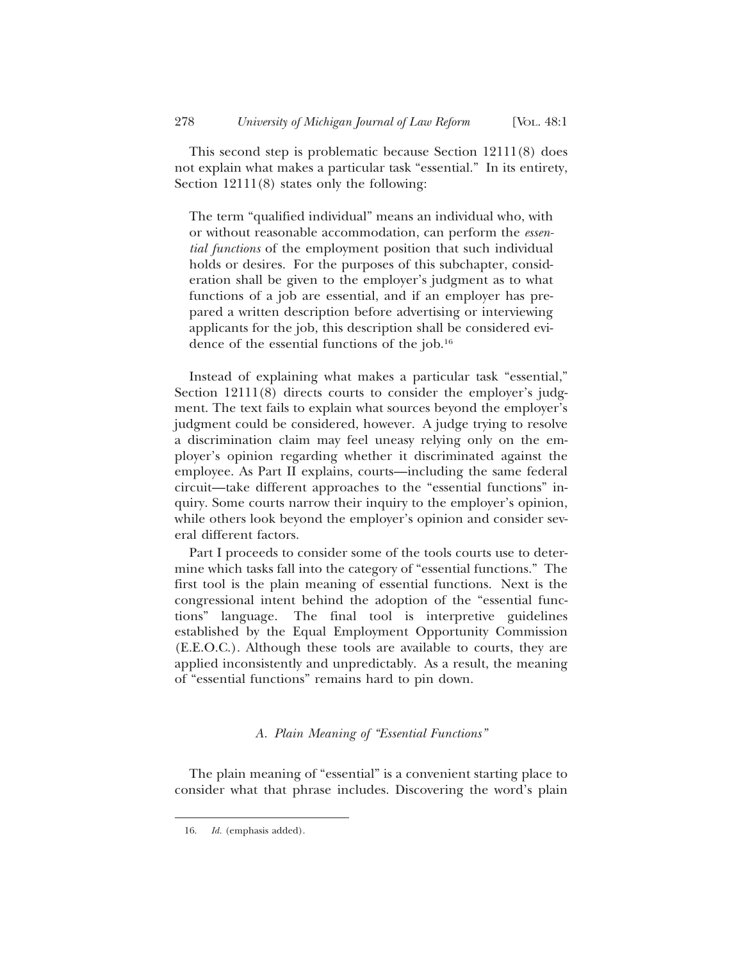This second step is problematic because Section 12111(8) does not explain what makes a particular task "essential." In its entirety, Section  $12111(8)$  states only the following:

The term "qualified individual" means an individual who, with or without reasonable accommodation, can perform the *essential functions* of the employment position that such individual holds or desires. For the purposes of this subchapter, consideration shall be given to the employer's judgment as to what functions of a job are essential, and if an employer has prepared a written description before advertising or interviewing applicants for the job, this description shall be considered evidence of the essential functions of the job.16

Instead of explaining what makes a particular task "essential," Section 12111(8) directs courts to consider the employer's judgment. The text fails to explain what sources beyond the employer's judgment could be considered, however. A judge trying to resolve a discrimination claim may feel uneasy relying only on the employer's opinion regarding whether it discriminated against the employee. As Part II explains, courts—including the same federal circuit—take different approaches to the "essential functions" inquiry. Some courts narrow their inquiry to the employer's opinion, while others look beyond the employer's opinion and consider several different factors.

Part I proceeds to consider some of the tools courts use to determine which tasks fall into the category of "essential functions." The first tool is the plain meaning of essential functions. Next is the congressional intent behind the adoption of the "essential functions" language. The final tool is interpretive guidelines established by the Equal Employment Opportunity Commission (E.E.O.C.). Although these tools are available to courts, they are applied inconsistently and unpredictably. As a result, the meaning of "essential functions" remains hard to pin down.

## *A. Plain Meaning of "Essential Functions"*

The plain meaning of "essential" is a convenient starting place to consider what that phrase includes. Discovering the word's plain

<sup>16.</sup> *Id.* (emphasis added).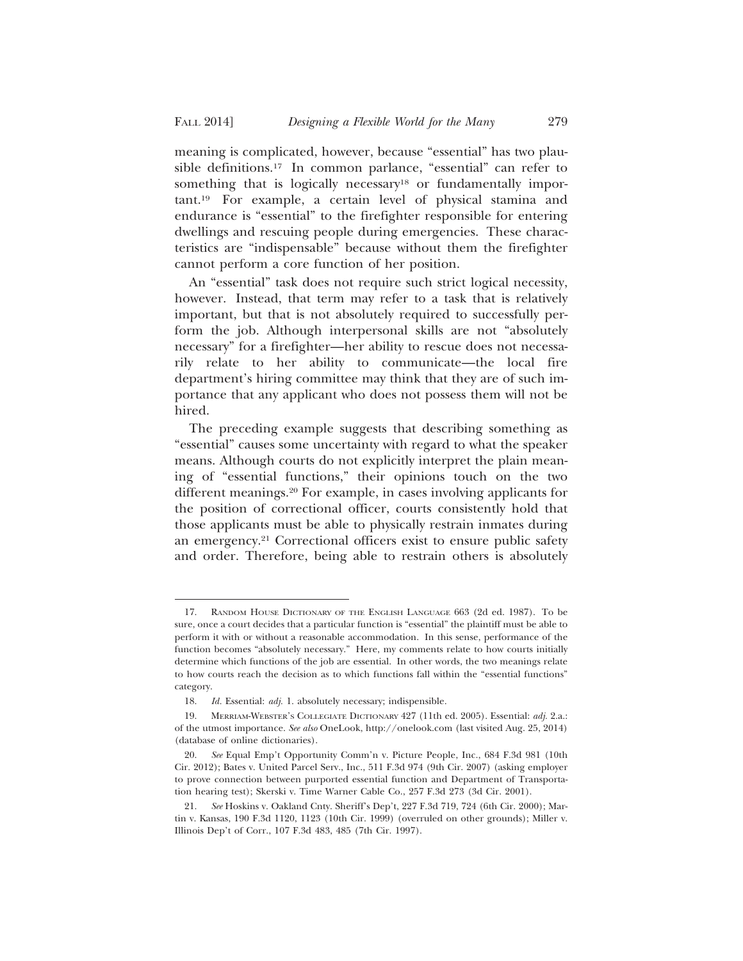meaning is complicated, however, because "essential" has two plausible definitions.17 In common parlance, "essential" can refer to something that is logically necessary<sup>18</sup> or fundamentally important.19 For example, a certain level of physical stamina and endurance is "essential" to the firefighter responsible for entering dwellings and rescuing people during emergencies. These characteristics are "indispensable" because without them the firefighter cannot perform a core function of her position.

An "essential" task does not require such strict logical necessity, however. Instead, that term may refer to a task that is relatively important, but that is not absolutely required to successfully perform the job. Although interpersonal skills are not "absolutely necessary" for a firefighter—her ability to rescue does not necessarily relate to her ability to communicate—the local fire department's hiring committee may think that they are of such importance that any applicant who does not possess them will not be hired.

The preceding example suggests that describing something as "essential" causes some uncertainty with regard to what the speaker means. Although courts do not explicitly interpret the plain meaning of "essential functions," their opinions touch on the two different meanings.20 For example, in cases involving applicants for the position of correctional officer, courts consistently hold that those applicants must be able to physically restrain inmates during an emergency.21 Correctional officers exist to ensure public safety and order. Therefore, being able to restrain others is absolutely

<sup>17.</sup> RANDOM HOUSE DICTIONARY OF THE ENGLISH LANGUAGE 663 (2d ed. 1987). To be sure, once a court decides that a particular function is "essential" the plaintiff must be able to perform it with or without a reasonable accommodation. In this sense, performance of the function becomes "absolutely necessary." Here, my comments relate to how courts initially determine which functions of the job are essential. In other words, the two meanings relate to how courts reach the decision as to which functions fall within the "essential functions" category.

<sup>18.</sup> *Id.* Essential: *adj.* 1. absolutely necessary; indispensible.

<sup>19.</sup> MERRIAM-WEBSTER'S COLLEGIATE DICTIONARY 427 (11th ed. 2005). Essential: *adj.* 2.a.: of the utmost importance. *See also* OneLook, http://onelook.com (last visited Aug. 25, 2014) (database of online dictionaries).

<sup>20.</sup> *See* Equal Emp't Opportunity Comm'n v. Picture People, Inc., 684 F.3d 981 (10th Cir. 2012); Bates v. United Parcel Serv., Inc., 511 F.3d 974 (9th Cir. 2007) (asking employer to prove connection between purported essential function and Department of Transportation hearing test); Skerski v. Time Warner Cable Co., 257 F.3d 273 (3d Cir. 2001).

<sup>21.</sup> *See* Hoskins v. Oakland Cnty. Sheriff's Dep't, 227 F.3d 719, 724 (6th Cir. 2000); Martin v. Kansas, 190 F.3d 1120, 1123 (10th Cir. 1999) (overruled on other grounds); Miller v. Illinois Dep't of Corr., 107 F.3d 483, 485 (7th Cir. 1997).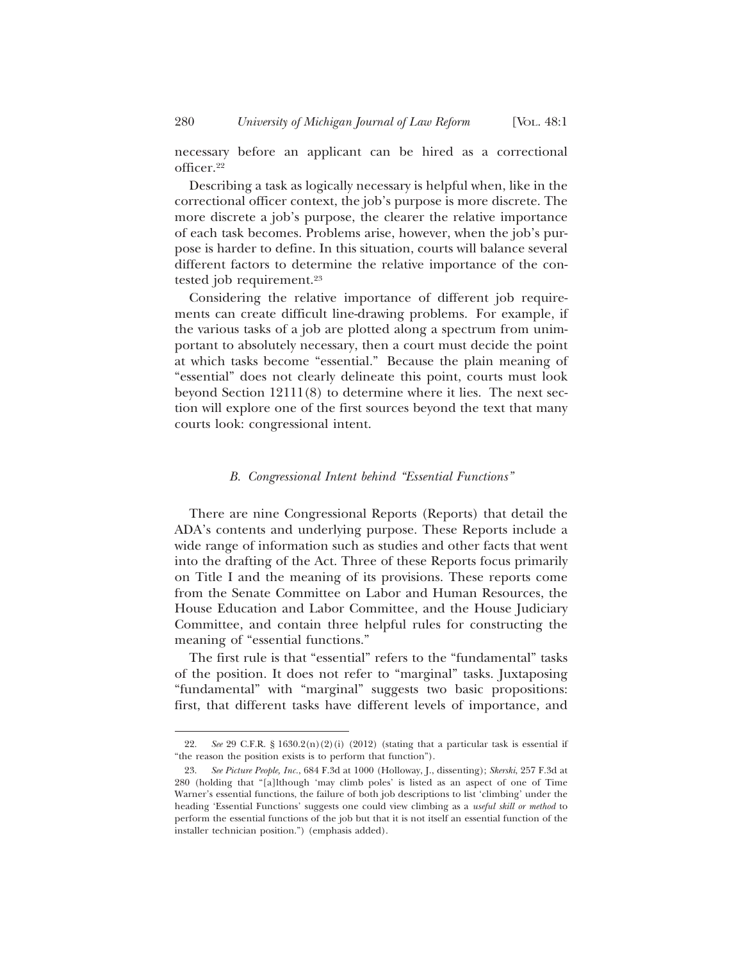necessary before an applicant can be hired as a correctional officer.22

Describing a task as logically necessary is helpful when, like in the correctional officer context, the job's purpose is more discrete. The more discrete a job's purpose, the clearer the relative importance of each task becomes. Problems arise, however, when the job's purpose is harder to define. In this situation, courts will balance several different factors to determine the relative importance of the contested job requirement.23

Considering the relative importance of different job requirements can create difficult line-drawing problems. For example, if the various tasks of a job are plotted along a spectrum from unimportant to absolutely necessary, then a court must decide the point at which tasks become "essential." Because the plain meaning of "essential" does not clearly delineate this point, courts must look beyond Section 12111(8) to determine where it lies. The next section will explore one of the first sources beyond the text that many courts look: congressional intent.

#### *B. Congressional Intent behind "Essential Functions"*

There are nine Congressional Reports (Reports) that detail the ADA's contents and underlying purpose. These Reports include a wide range of information such as studies and other facts that went into the drafting of the Act. Three of these Reports focus primarily on Title I and the meaning of its provisions. These reports come from the Senate Committee on Labor and Human Resources, the House Education and Labor Committee, and the House Judiciary Committee, and contain three helpful rules for constructing the meaning of "essential functions."

The first rule is that "essential" refers to the "fundamental" tasks of the position. It does not refer to "marginal" tasks. Juxtaposing "fundamental" with "marginal" suggests two basic propositions: first, that different tasks have different levels of importance, and

<sup>22.</sup> *See* 29 C.F.R. § 1630.2(n)(2)(i) (2012) (stating that a particular task is essential if "the reason the position exists is to perform that function").

<sup>23.</sup> *See Picture People, Inc.*, 684 F.3d at 1000 (Holloway, J., dissenting); *Skerski*, 257 F.3d at 280 (holding that "[a]lthough 'may climb poles' is listed as an aspect of one of Time Warner's essential functions, the failure of both job descriptions to list 'climbing' under the heading 'Essential Functions' suggests one could view climbing as a *useful skill or method* to perform the essential functions of the job but that it is not itself an essential function of the installer technician position.") (emphasis added).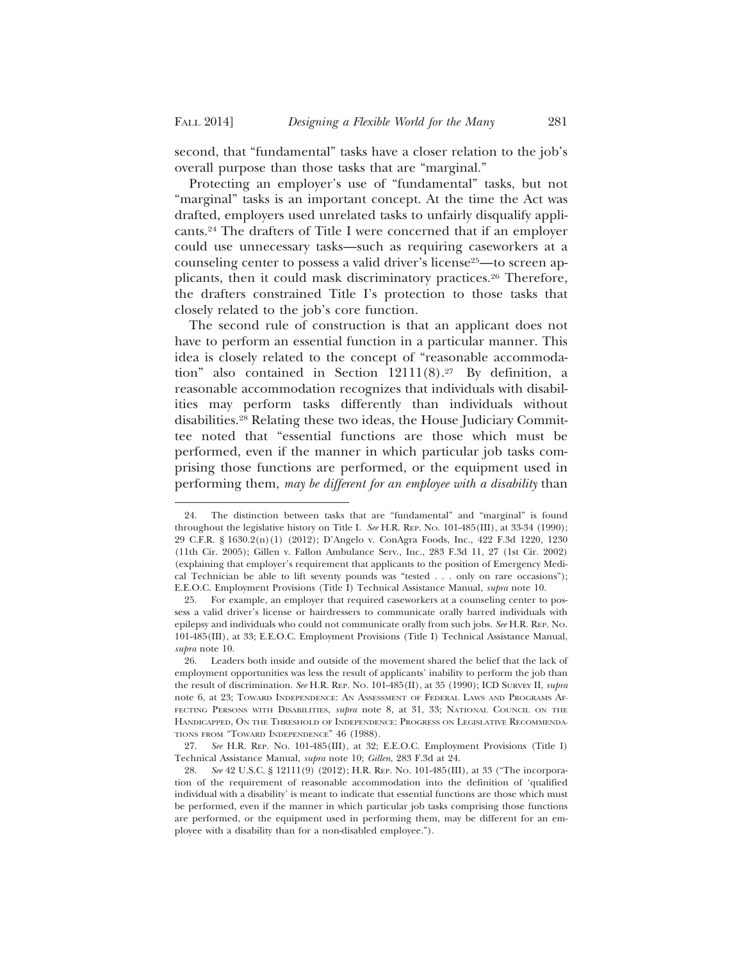second, that "fundamental" tasks have a closer relation to the job's overall purpose than those tasks that are "marginal."

Protecting an employer's use of "fundamental" tasks, but not "marginal" tasks is an important concept. At the time the Act was drafted, employers used unrelated tasks to unfairly disqualify applicants.24 The drafters of Title I were concerned that if an employer could use unnecessary tasks—such as requiring caseworkers at a counseling center to possess a valid driver's license<sup>25</sup>—to screen applicants, then it could mask discriminatory practices.26 Therefore, the drafters constrained Title I's protection to those tasks that closely related to the job's core function.

The second rule of construction is that an applicant does not have to perform an essential function in a particular manner. This idea is closely related to the concept of "reasonable accommodation" also contained in Section  $12111(8).^{27}$  By definition, a reasonable accommodation recognizes that individuals with disabilities may perform tasks differently than individuals without disabilities.28 Relating these two ideas, the House Judiciary Committee noted that "essential functions are those which must be performed, even if the manner in which particular job tasks comprising those functions are performed, or the equipment used in performing them, *may be different for an employee with a disability* than

<sup>24.</sup> The distinction between tasks that are "fundamental" and "marginal" is found throughout the legislative history on Title I. *See* H.R. REP. NO. 101-485(III), at 33-34 (1990); 29 C.F.R. § 1630.2(n)(1) (2012); D'Angelo v. ConAgra Foods, Inc., 422 F.3d 1220, 1230 (11th Cir. 2005); Gillen v. Fallon Ambulance Serv., Inc., 283 F.3d 11, 27 (1st Cir. 2002) (explaining that employer's requirement that applicants to the position of Emergency Medical Technician be able to lift seventy pounds was "tested . . . only on rare occasions"); E.E.O.C. Employment Provisions (Title I) Technical Assistance Manual, *supra* note 10.

<sup>25.</sup> For example, an employer that required caseworkers at a counseling center to possess a valid driver's license or hairdressers to communicate orally barred individuals with epilepsy and individuals who could not communicate orally from such jobs. *See* H.R. REP. NO. 101-485(III), at 33; E.E.O.C. Employment Provisions (Title I) Technical Assistance Manual, *supra* note 10.

<sup>26.</sup> Leaders both inside and outside of the movement shared the belief that the lack of employment opportunities was less the result of applicants' inability to perform the job than the result of discrimination. *See* H.R. REP. NO. 101-485(II), at 35 (1990); ICD SURVEY II, *supra* note 6, at 23; TOWARD INDEPENDENCE: AN ASSESSMENT OF FEDERAL LAWS AND PROGRAMS AF-FECTING PERSONS WITH DISABILITIES, *supra* note 8, at 31, 33; NATIONAL COUNCIL ON THE HANDICAPPED, ON THE THRESHOLD OF INDEPENDENCE: PROGRESS ON LEGISLATIVE RECOMMENDA-TIONS FROM "TOWARD INDEPENDENCE" 46 (1988).

<sup>27.</sup> *See* H.R. REP. NO. 101-485(III), at 32; E.E.O.C. Employment Provisions (Title I) Technical Assistance Manual, *supra* note 10; *Gillen*, 283 F.3d at 24.

<sup>28.</sup> *See* 42 U.S.C. § 12111(9) (2012); H.R. REP. NO. 101-485(III), at 33 ("The incorporation of the requirement of reasonable accommodation into the definition of 'qualified individual with a disability' is meant to indicate that essential functions are those which must be performed, even if the manner in which particular job tasks comprising those functions are performed, or the equipment used in performing them, may be different for an employee with a disability than for a non-disabled employee.").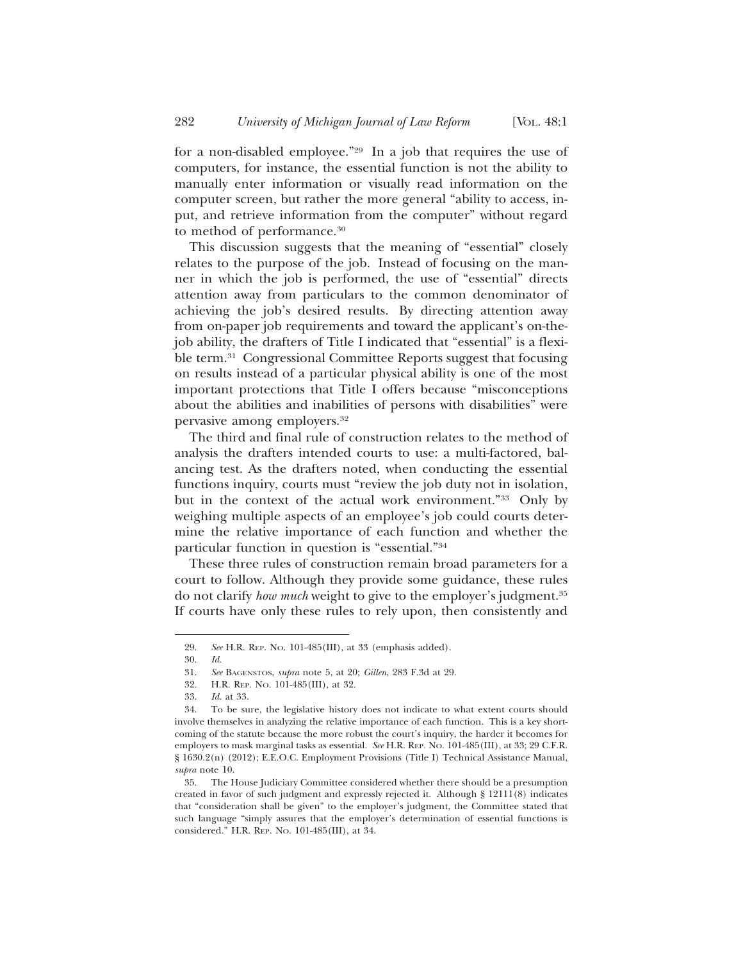for a non-disabled employee."29 In a job that requires the use of computers, for instance, the essential function is not the ability to manually enter information or visually read information on the computer screen, but rather the more general "ability to access, input, and retrieve information from the computer" without regard to method of performance.30

This discussion suggests that the meaning of "essential" closely relates to the purpose of the job. Instead of focusing on the manner in which the job is performed, the use of "essential" directs attention away from particulars to the common denominator of achieving the job's desired results. By directing attention away from on-paper job requirements and toward the applicant's on-thejob ability, the drafters of Title I indicated that "essential" is a flexible term.31 Congressional Committee Reports suggest that focusing on results instead of a particular physical ability is one of the most important protections that Title I offers because "misconceptions about the abilities and inabilities of persons with disabilities" were pervasive among employers.32

The third and final rule of construction relates to the method of analysis the drafters intended courts to use: a multi-factored, balancing test. As the drafters noted, when conducting the essential functions inquiry, courts must "review the job duty not in isolation, but in the context of the actual work environment."33 Only by weighing multiple aspects of an employee's job could courts determine the relative importance of each function and whether the particular function in question is "essential."34

These three rules of construction remain broad parameters for a court to follow. Although they provide some guidance, these rules do not clarify *how much* weight to give to the employer's judgment.35 If courts have only these rules to rely upon, then consistently and

<sup>29.</sup> *See* H.R. REP. NO. 101-485(III), at 33 (emphasis added).

<sup>30.</sup> *Id.*

<sup>31.</sup> *See* BAGENSTOS, *supra* note 5, at 20; *Gillen*, 283 F.3d at 29.

<sup>32.</sup> H.R. REP. NO. 101-485(III), at 32.

<sup>33.</sup> *Id.* at 33.

<sup>34.</sup> To be sure, the legislative history does not indicate to what extent courts should involve themselves in analyzing the relative importance of each function. This is a key shortcoming of the statute because the more robust the court's inquiry, the harder it becomes for employers to mask marginal tasks as essential. *See* H.R. REP. NO. 101-485(III), at 33; 29 C.F.R. § 1630.2(n) (2012); E.E.O.C. Employment Provisions (Title I) Technical Assistance Manual, *supra* note 10.

<sup>35.</sup> The House Judiciary Committee considered whether there should be a presumption created in favor of such judgment and expressly rejected it. Although § 12111(8) indicates that "consideration shall be given" to the employer's judgment, the Committee stated that such language "simply assures that the employer's determination of essential functions is considered." H.R. REP. NO. 101-485(III), at 34.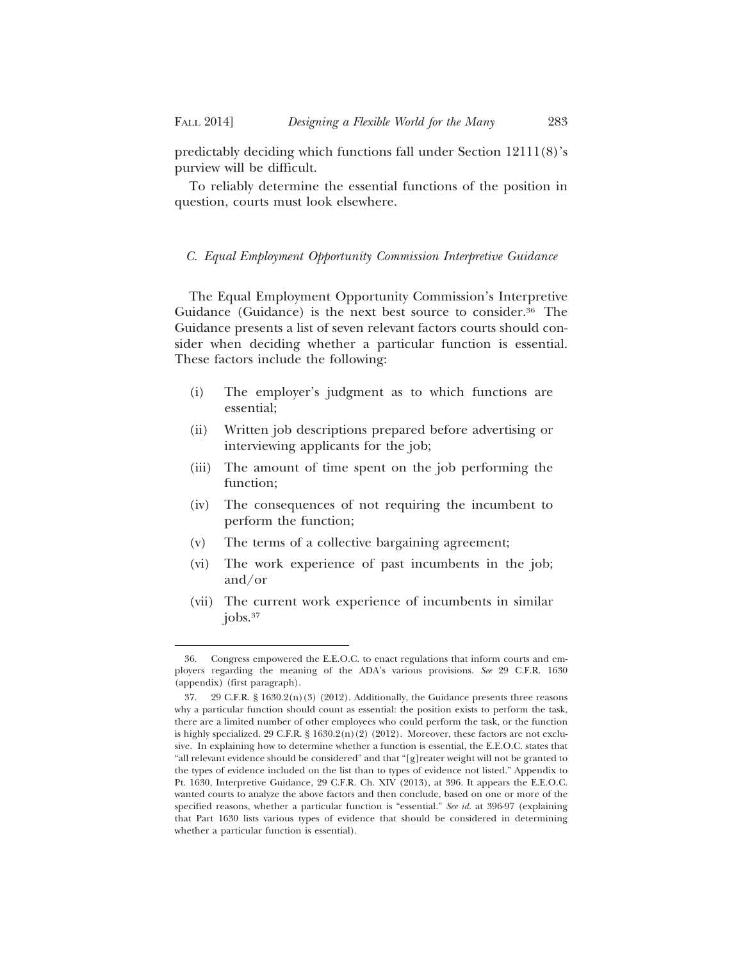predictably deciding which functions fall under Section 12111(8)'s purview will be difficult.

To reliably determine the essential functions of the position in question, courts must look elsewhere.

## *C. Equal Employment Opportunity Commission Interpretive Guidance*

The Equal Employment Opportunity Commission's Interpretive Guidance (Guidance) is the next best source to consider.<sup>36</sup> The Guidance presents a list of seven relevant factors courts should consider when deciding whether a particular function is essential. These factors include the following:

- (i) The employer's judgment as to which functions are essential;
- (ii) Written job descriptions prepared before advertising or interviewing applicants for the job;
- (iii) The amount of time spent on the job performing the function;
- (iv) The consequences of not requiring the incumbent to perform the function;
- (v) The terms of a collective bargaining agreement;
- (vi) The work experience of past incumbents in the job; and/or
- (vii) The current work experience of incumbents in similar  $jobs.<sup>37</sup>$

<sup>36.</sup> Congress empowered the E.E.O.C. to enact regulations that inform courts and employers regarding the meaning of the ADA's various provisions. *See* 29 C.F.R. 1630 (appendix) (first paragraph).

<sup>37. 29</sup> C.F.R. § 1630.2(n)(3) (2012). Additionally, the Guidance presents three reasons why a particular function should count as essential: the position exists to perform the task, there are a limited number of other employees who could perform the task, or the function is highly specialized. 29 C.F.R. § 1630.2(n)(2) (2012). Moreover, these factors are not exclusive. In explaining how to determine whether a function is essential, the E.E.O.C. states that "all relevant evidence should be considered" and that "[g]reater weight will not be granted to the types of evidence included on the list than to types of evidence not listed." Appendix to Pt. 1630, Interpretive Guidance, 29 C.F.R. Ch. XIV (2013), at 396. It appears the E.E.O.C. wanted courts to analyze the above factors and then conclude, based on one or more of the specified reasons, whether a particular function is "essential." *See id.* at 396-97 (explaining that Part 1630 lists various types of evidence that should be considered in determining whether a particular function is essential).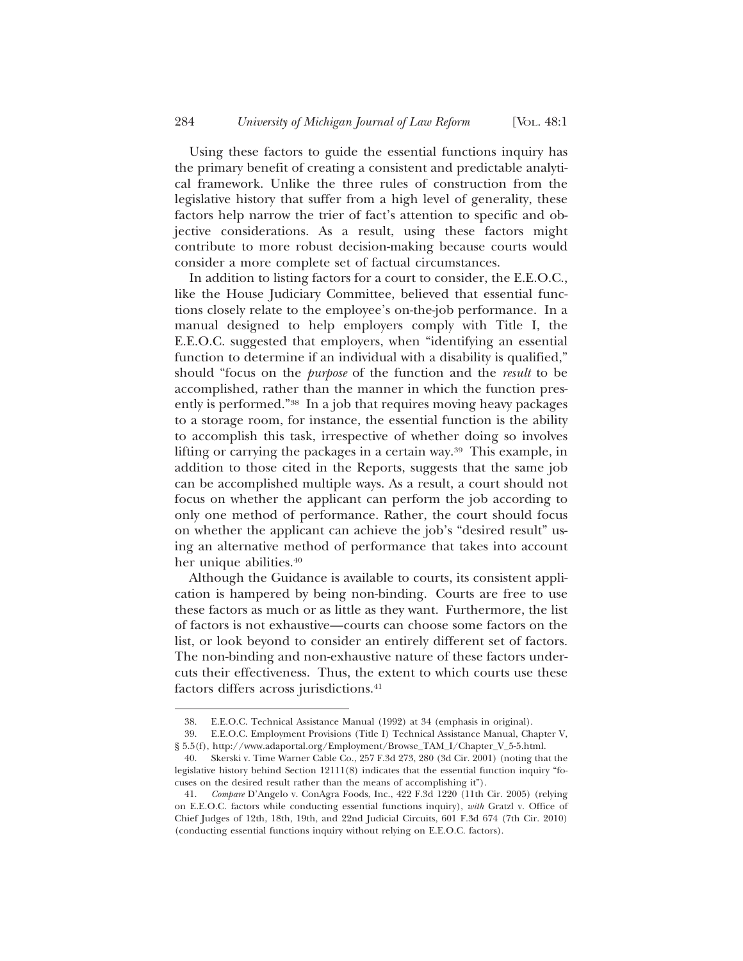Using these factors to guide the essential functions inquiry has the primary benefit of creating a consistent and predictable analytical framework. Unlike the three rules of construction from the legislative history that suffer from a high level of generality, these factors help narrow the trier of fact's attention to specific and objective considerations. As a result, using these factors might contribute to more robust decision-making because courts would consider a more complete set of factual circumstances.

In addition to listing factors for a court to consider, the E.E.O.C., like the House Judiciary Committee, believed that essential functions closely relate to the employee's on-the-job performance. In a manual designed to help employers comply with Title I, the E.E.O.C. suggested that employers, when "identifying an essential function to determine if an individual with a disability is qualified," should "focus on the *purpose* of the function and the *result* to be accomplished, rather than the manner in which the function presently is performed."38 In a job that requires moving heavy packages to a storage room, for instance, the essential function is the ability to accomplish this task, irrespective of whether doing so involves lifting or carrying the packages in a certain way.39 This example, in addition to those cited in the Reports, suggests that the same job can be accomplished multiple ways. As a result, a court should not focus on whether the applicant can perform the job according to only one method of performance. Rather, the court should focus on whether the applicant can achieve the job's "desired result" using an alternative method of performance that takes into account her unique abilities.<sup>40</sup>

Although the Guidance is available to courts, its consistent application is hampered by being non-binding. Courts are free to use these factors as much or as little as they want. Furthermore, the list of factors is not exhaustive—courts can choose some factors on the list, or look beyond to consider an entirely different set of factors. The non-binding and non-exhaustive nature of these factors undercuts their effectiveness. Thus, the extent to which courts use these factors differs across jurisdictions.<sup>41</sup>

<sup>38.</sup> E.E.O.C. Technical Assistance Manual (1992) at 34 (emphasis in original).

<sup>39.</sup> E.E.O.C. Employment Provisions (Title I) Technical Assistance Manual, Chapter V, § 5.5(f), http://www.adaportal.org/Employment/Browse\_TAM\_I/Chapter\_V\_5-5.html.

<sup>40.</sup> Skerski v. Time Warner Cable Co., 257 F.3d 273, 280 (3d Cir. 2001) (noting that the legislative history behind Section 12111(8) indicates that the essential function inquiry "focuses on the desired result rather than the means of accomplishing it").

<sup>41.</sup> *Compare* D'Angelo v. ConAgra Foods, Inc., 422 F.3d 1220 (11th Cir. 2005) (relying on E.E.O.C. factors while conducting essential functions inquiry), *with* Gratzl v. Office of Chief Judges of 12th, 18th, 19th, and 22nd Judicial Circuits, 601 F.3d 674 (7th Cir. 2010) (conducting essential functions inquiry without relying on E.E.O.C. factors).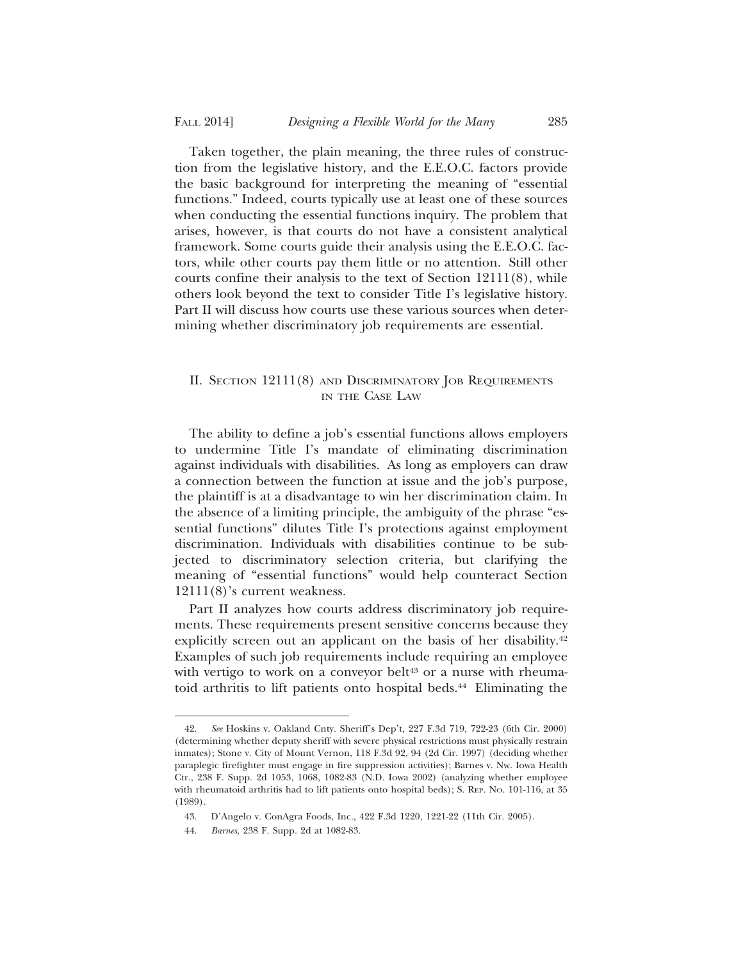Taken together, the plain meaning, the three rules of construction from the legislative history, and the E.E.O.C. factors provide the basic background for interpreting the meaning of "essential functions." Indeed, courts typically use at least one of these sources when conducting the essential functions inquiry. The problem that arises, however, is that courts do not have a consistent analytical framework. Some courts guide their analysis using the E.E.O.C. factors, while other courts pay them little or no attention. Still other courts confine their analysis to the text of Section 12111(8), while others look beyond the text to consider Title I's legislative history. Part II will discuss how courts use these various sources when determining whether discriminatory job requirements are essential.

## II. SECTION 12111(8) AND DISCRIMINATORY JOB REQUIREMENTS IN THE CASE LAW

The ability to define a job's essential functions allows employers to undermine Title I's mandate of eliminating discrimination against individuals with disabilities. As long as employers can draw a connection between the function at issue and the job's purpose, the plaintiff is at a disadvantage to win her discrimination claim. In the absence of a limiting principle, the ambiguity of the phrase "essential functions" dilutes Title I's protections against employment discrimination. Individuals with disabilities continue to be subjected to discriminatory selection criteria, but clarifying the meaning of "essential functions" would help counteract Section 12111(8)'s current weakness.

Part II analyzes how courts address discriminatory job requirements. These requirements present sensitive concerns because they explicitly screen out an applicant on the basis of her disability.<sup>42</sup> Examples of such job requirements include requiring an employee with vertigo to work on a conveyor belt<sup>43</sup> or a nurse with rheumatoid arthritis to lift patients onto hospital beds.<sup>44</sup> Eliminating the

<sup>42.</sup> *See* Hoskins v. Oakland Cnty. Sheriff's Dep't, 227 F.3d 719, 722-23 (6th Cir. 2000) (determining whether deputy sheriff with severe physical restrictions must physically restrain inmates); Stone v. City of Mount Vernon, 118 F.3d 92, 94 (2d Cir. 1997) (deciding whether paraplegic firefighter must engage in fire suppression activities); Barnes v. Nw. Iowa Health Ctr., 238 F. Supp. 2d 1053, 1068, 1082-83 (N.D. Iowa 2002) (analyzing whether employee with rheumatoid arthritis had to lift patients onto hospital beds); S. REP. NO. 101-116, at 35 (1989).

<sup>43.</sup> D'Angelo v. ConAgra Foods, Inc., 422 F.3d 1220, 1221-22 (11th Cir. 2005).

<sup>44.</sup> *Barnes*, 238 F. Supp. 2d at 1082-83.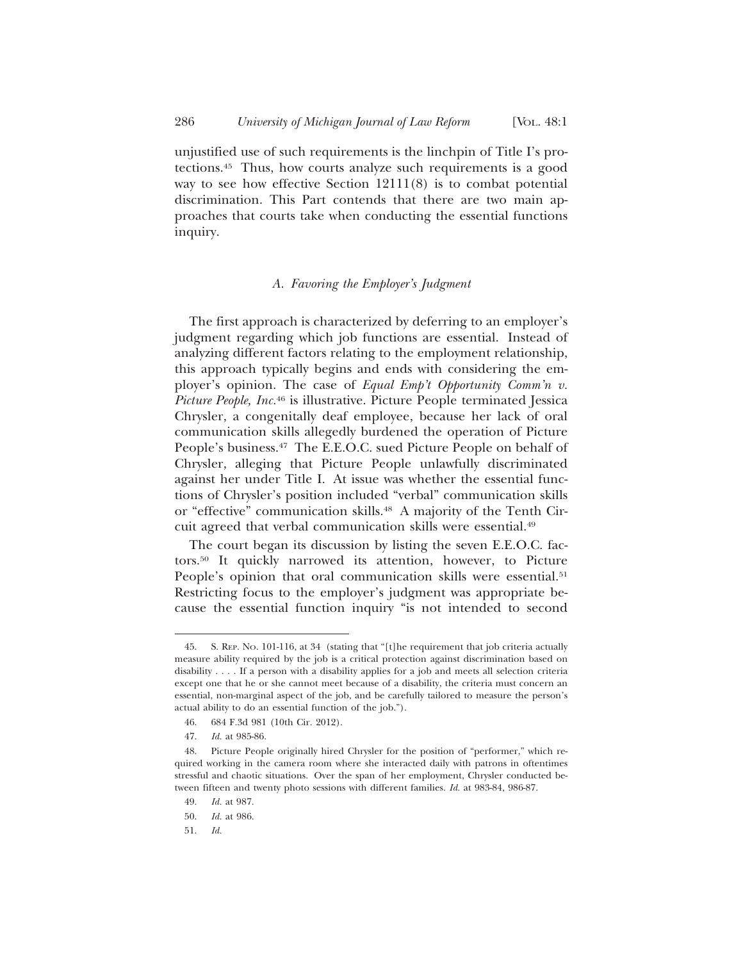unjustified use of such requirements is the linchpin of Title I's protections.45 Thus, how courts analyze such requirements is a good way to see how effective Section 12111(8) is to combat potential discrimination. This Part contends that there are two main approaches that courts take when conducting the essential functions inquiry.

## *A. Favoring the Employer's Judgment*

The first approach is characterized by deferring to an employer's judgment regarding which job functions are essential. Instead of analyzing different factors relating to the employment relationship, this approach typically begins and ends with considering the employer's opinion. The case of *Equal Emp't Opportunity Comm'n v. Picture People, Inc.*46 is illustrative. Picture People terminated Jessica Chrysler, a congenitally deaf employee, because her lack of oral communication skills allegedly burdened the operation of Picture People's business.<sup>47</sup> The E.E.O.C. sued Picture People on behalf of Chrysler, alleging that Picture People unlawfully discriminated against her under Title I. At issue was whether the essential functions of Chrysler's position included "verbal" communication skills or "effective" communication skills.<sup>48</sup> A majority of the Tenth Circuit agreed that verbal communication skills were essential.49

The court began its discussion by listing the seven E.E.O.C. factors.50 It quickly narrowed its attention, however, to Picture People's opinion that oral communication skills were essential.<sup>51</sup> Restricting focus to the employer's judgment was appropriate because the essential function inquiry "is not intended to second

<sup>45.</sup> S. REP. NO. 101-116, at 34 (stating that "[t]he requirement that job criteria actually measure ability required by the job is a critical protection against discrimination based on disability . . . . If a person with a disability applies for a job and meets all selection criteria except one that he or she cannot meet because of a disability, the criteria must concern an essential, non-marginal aspect of the job, and be carefully tailored to measure the person's actual ability to do an essential function of the job.").

<sup>46. 684</sup> F.3d 981 (10th Cir. 2012).

<sup>47.</sup> *Id.* at 985-86.

<sup>48.</sup> Picture People originally hired Chrysler for the position of "performer," which required working in the camera room where she interacted daily with patrons in oftentimes stressful and chaotic situations. Over the span of her employment, Chrysler conducted between fifteen and twenty photo sessions with different families. *Id.* at 983-84, 986-87.

<sup>49.</sup> *Id.* at 987.

<sup>50.</sup> *Id.* at 986.

<sup>51.</sup> *Id.*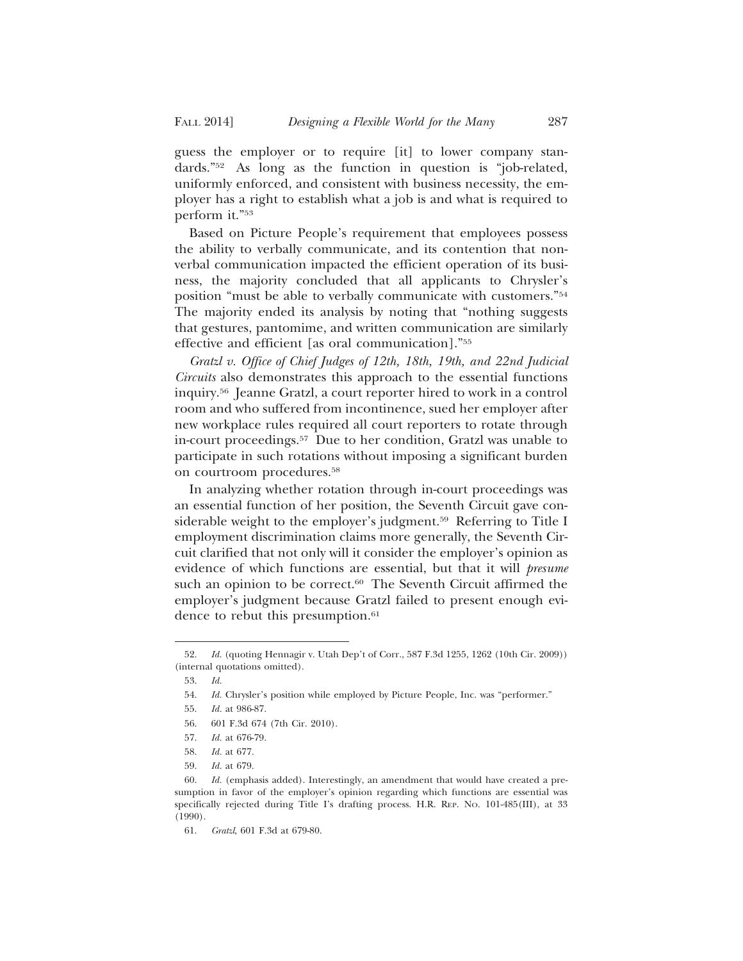guess the employer or to require [it] to lower company standards."52 As long as the function in question is "job-related, uniformly enforced, and consistent with business necessity, the employer has a right to establish what a job is and what is required to perform it."53

Based on Picture People's requirement that employees possess the ability to verbally communicate, and its contention that nonverbal communication impacted the efficient operation of its business, the majority concluded that all applicants to Chrysler's position "must be able to verbally communicate with customers."54 The majority ended its analysis by noting that "nothing suggests that gestures, pantomime, and written communication are similarly effective and efficient [as oral communication]."55

*Gratzl v. Office of Chief Judges of 12th, 18th, 19th, and 22nd Judicial Circuits* also demonstrates this approach to the essential functions inquiry.56 Jeanne Gratzl, a court reporter hired to work in a control room and who suffered from incontinence, sued her employer after new workplace rules required all court reporters to rotate through in-court proceedings.57 Due to her condition, Gratzl was unable to participate in such rotations without imposing a significant burden on courtroom procedures.58

In analyzing whether rotation through in-court proceedings was an essential function of her position, the Seventh Circuit gave considerable weight to the employer's judgment.<sup>59</sup> Referring to Title I employment discrimination claims more generally, the Seventh Circuit clarified that not only will it consider the employer's opinion as evidence of which functions are essential, but that it will *presume* such an opinion to be correct.<sup>60</sup> The Seventh Circuit affirmed the employer's judgment because Gratzl failed to present enough evidence to rebut this presumption.<sup>61</sup>

<sup>52.</sup> *Id.* (quoting Hennagir v. Utah Dep't of Corr., 587 F.3d 1255, 1262 (10th Cir. 2009)) (internal quotations omitted).

<sup>53.</sup> *Id.*

<sup>54.</sup> *Id.* Chrysler's position while employed by Picture People, Inc. was "performer."

<sup>55.</sup> *Id.* at 986-87.

<sup>56. 601</sup> F.3d 674 (7th Cir. 2010).

<sup>57.</sup> *Id.* at 676-79.

<sup>58.</sup> *Id.* at 677.

<sup>59.</sup> *Id.* at 679.

<sup>60.</sup> *Id.* (emphasis added). Interestingly, an amendment that would have created a presumption in favor of the employer's opinion regarding which functions are essential was specifically rejected during Title I's drafting process. H.R. REP. NO. 101-485(III), at 33 (1990).

<sup>61.</sup> *Gratzl*, 601 F.3d at 679-80.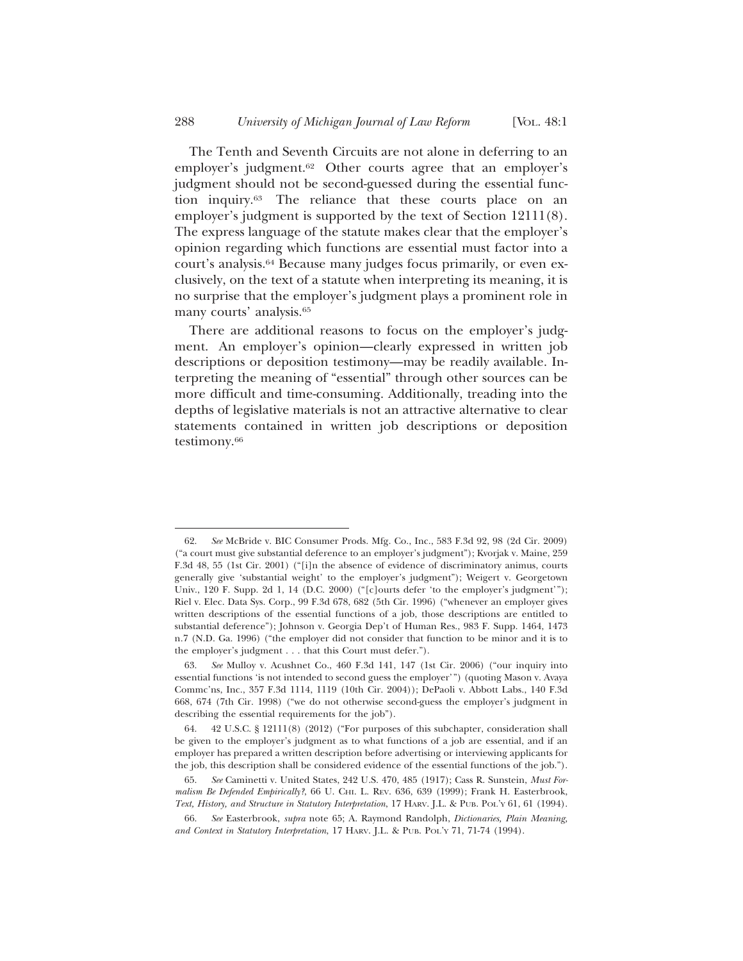The Tenth and Seventh Circuits are not alone in deferring to an employer's judgment.<sup>62</sup> Other courts agree that an employer's judgment should not be second-guessed during the essential function inquiry.63 The reliance that these courts place on an employer's judgment is supported by the text of Section 12111(8). The express language of the statute makes clear that the employer's opinion regarding which functions are essential must factor into a court's analysis.64 Because many judges focus primarily, or even exclusively, on the text of a statute when interpreting its meaning, it is no surprise that the employer's judgment plays a prominent role in many courts' analysis.65

There are additional reasons to focus on the employer's judgment. An employer's opinion—clearly expressed in written job descriptions or deposition testimony—may be readily available. Interpreting the meaning of "essential" through other sources can be more difficult and time-consuming. Additionally, treading into the depths of legislative materials is not an attractive alternative to clear statements contained in written job descriptions or deposition testimony.66

<sup>62.</sup> *See* McBride v. BIC Consumer Prods. Mfg. Co., Inc., 583 F.3d 92, 98 (2d Cir. 2009) ("a court must give substantial deference to an employer's judgment"); Kvorjak v. Maine, 259 F.3d 48, 55 (1st Cir. 2001) ("[i]n the absence of evidence of discriminatory animus, courts generally give 'substantial weight' to the employer's judgment"); Weigert v. Georgetown Univ., 120 F. Supp. 2d 1, 14 (D.C. 2000) ("[c]ourts defer 'to the employer's judgment'"); Riel v. Elec. Data Sys. Corp., 99 F.3d 678, 682 (5th Cir. 1996) ("whenever an employer gives written descriptions of the essential functions of a job, those descriptions are entitled to substantial deference"); Johnson v. Georgia Dep't of Human Res., 983 F. Supp. 1464, 1473 n.7 (N.D. Ga. 1996) ("the employer did not consider that function to be minor and it is to the employer's judgment . . . that this Court must defer.").

<sup>63.</sup> *See* Mulloy v. Acushnet Co., 460 F.3d 141, 147 (1st Cir. 2006) ("our inquiry into essential functions 'is not intended to second guess the employer'") (quoting Mason v. Avaya Commc'ns, Inc., 357 F.3d 1114, 1119 (10th Cir. 2004)); DePaoli v. Abbott Labs., 140 F.3d 668, 674 (7th Cir. 1998) ("we do not otherwise second-guess the employer's judgment in describing the essential requirements for the job").

<sup>64. 42</sup> U.S.C. § 12111(8) (2012) ("For purposes of this subchapter, consideration shall be given to the employer's judgment as to what functions of a job are essential, and if an employer has prepared a written description before advertising or interviewing applicants for the job, this description shall be considered evidence of the essential functions of the job.").

<sup>65.</sup> *See* Caminetti v. United States, 242 U.S. 470, 485 (1917); Cass R. Sunstein, *Must Formalism Be Defended Empirically?*, 66 U. CHI. L. REV. 636, 639 (1999); Frank H. Easterbrook, *Text, History, and Structure in Statutory Interpretation*, 17 HARV. J.L. & PUB. POL'Y 61, 61 (1994).

<sup>66.</sup> *See* Easterbrook, *supra* note 65; A. Raymond Randolph, *Dictionaries, Plain Meaning, and Context in Statutory Interpretation*, 17 HARV. J.L. & PUB. POL'Y 71, 71-74 (1994).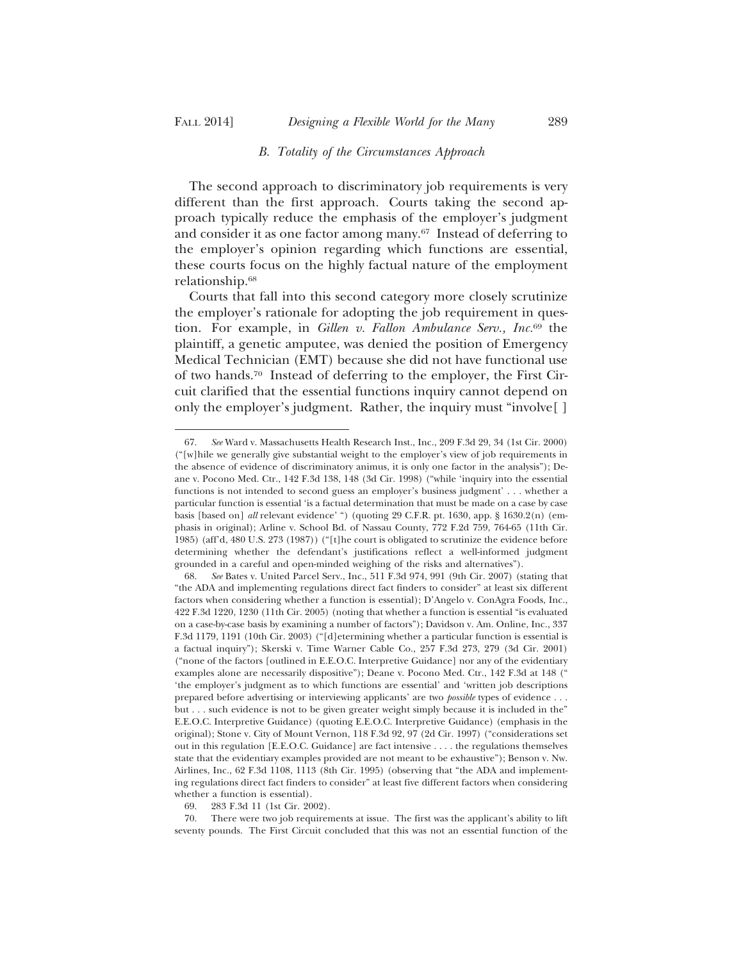#### *B. Totality of the Circumstances Approach*

The second approach to discriminatory job requirements is very different than the first approach. Courts taking the second approach typically reduce the emphasis of the employer's judgment and consider it as one factor among many.<sup>67</sup> Instead of deferring to the employer's opinion regarding which functions are essential, these courts focus on the highly factual nature of the employment relationship.68

Courts that fall into this second category more closely scrutinize the employer's rationale for adopting the job requirement in question. For example, in *Gillen v. Fallon Ambulance Serv., Inc.*69 the plaintiff, a genetic amputee, was denied the position of Emergency Medical Technician (EMT) because she did not have functional use of two hands.70 Instead of deferring to the employer, the First Circuit clarified that the essential functions inquiry cannot depend on only the employer's judgment. Rather, the inquiry must "involve[ ]

<sup>67.</sup> *See* Ward v. Massachusetts Health Research Inst., Inc., 209 F.3d 29, 34 (1st Cir. 2000) ("[w]hile we generally give substantial weight to the employer's view of job requirements in the absence of evidence of discriminatory animus, it is only one factor in the analysis"); Deane v. Pocono Med. Ctr., 142 F.3d 138, 148 (3d Cir. 1998) ("while 'inquiry into the essential functions is not intended to second guess an employer's business judgment' . . . whether a particular function is essential 'is a factual determination that must be made on a case by case basis [based on] *all* relevant evidence' ") (quoting 29 C.F.R. pt. 1630, app. § 1630.2(n) (emphasis in original); Arline v. School Bd. of Nassau County, 772 F.2d 759, 764-65 (11th Cir. 1985) (aff'd, 480 U.S. 273 (1987)) ("[t]he court is obligated to scrutinize the evidence before determining whether the defendant's justifications reflect a well-informed judgment grounded in a careful and open-minded weighing of the risks and alternatives").

<sup>68.</sup> *See* Bates v. United Parcel Serv., Inc., 511 F.3d 974, 991 (9th Cir. 2007) (stating that "the ADA and implementing regulations direct fact finders to consider" at least six different factors when considering whether a function is essential); D'Angelo v. ConAgra Foods, Inc., 422 F.3d 1220, 1230 (11th Cir. 2005) (noting that whether a function is essential "is evaluated on a case-by-case basis by examining a number of factors"); Davidson v. Am. Online, Inc., 337 F.3d 1179, 1191 (10th Cir. 2003) ("[d]etermining whether a particular function is essential is a factual inquiry"); Skerski v. Time Warner Cable Co., 257 F.3d 273, 279 (3d Cir. 2001) ("none of the factors [outlined in E.E.O.C. Interpretive Guidance] nor any of the evidentiary examples alone are necessarily dispositive"); Deane v. Pocono Med. Ctr., 142 F.3d at 148 (" 'the employer's judgment as to which functions are essential' and 'written job descriptions prepared before advertising or interviewing applicants' are two *possible* types of evidence . . . but . . . such evidence is not to be given greater weight simply because it is included in the" E.E.O.C. Interpretive Guidance) (quoting E.E.O.C. Interpretive Guidance) (emphasis in the original); Stone v. City of Mount Vernon, 118 F.3d 92, 97 (2d Cir. 1997) ("considerations set out in this regulation [E.E.O.C. Guidance] are fact intensive . . . . the regulations themselves state that the evidentiary examples provided are not meant to be exhaustive"); Benson v. Nw. Airlines, Inc., 62 F.3d 1108, 1113 (8th Cir. 1995) (observing that "the ADA and implementing regulations direct fact finders to consider" at least five different factors when considering whether a function is essential).

<sup>69. 283</sup> F.3d 11 (1st Cir. 2002).

<sup>70.</sup> There were two job requirements at issue. The first was the applicant's ability to lift seventy pounds. The First Circuit concluded that this was not an essential function of the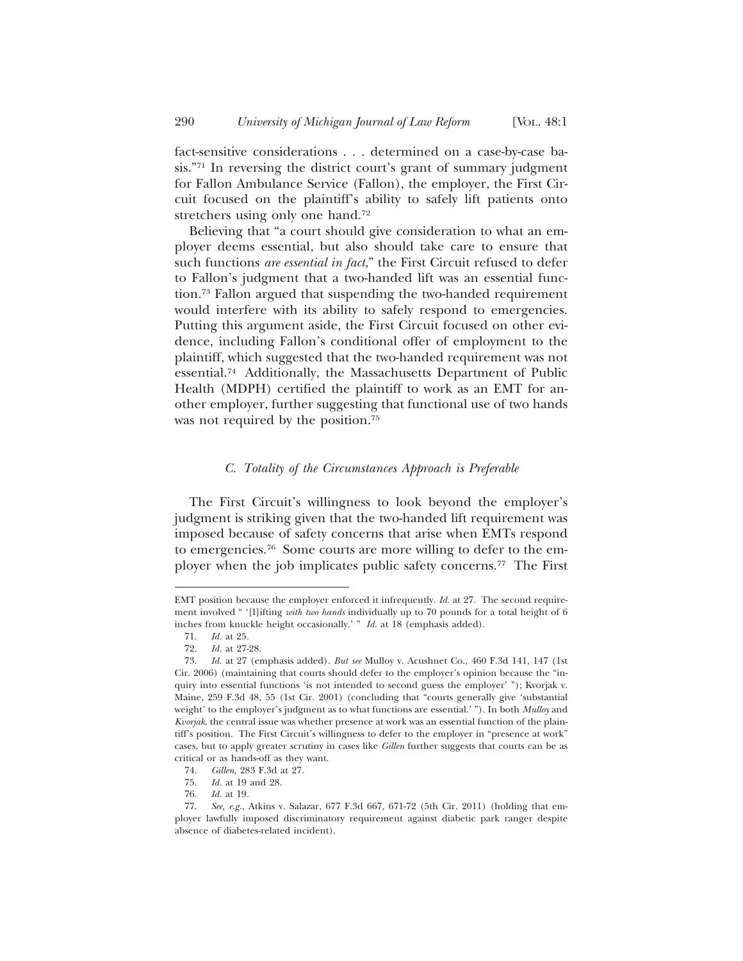fact-sensitive considerations . . . determined on a case-by-case basis."71 In reversing the district court's grant of summary judgment for Fallon Ambulance Service (Fallon), the employer, the First Circuit focused on the plaintiff's ability to safely lift patients onto stretchers using only one hand.<sup>72</sup>

Believing that "a court should give consideration to what an employer deems essential, but also should take care to ensure that such functions *are essential in fact*," the First Circuit refused to defer to Fallon's judgment that a two-handed lift was an essential function.73 Fallon argued that suspending the two-handed requirement would interfere with its ability to safely respond to emergencies. Putting this argument aside, the First Circuit focused on other evidence, including Fallon's conditional offer of employment to the plaintiff, which suggested that the two-handed requirement was not essential.74 Additionally, the Massachusetts Department of Public Health (MDPH) certified the plaintiff to work as an EMT for another employer, further suggesting that functional use of two hands was not required by the position.<sup>75</sup>

#### *C. Totality of the Circumstances Approach is Preferable*

The First Circuit's willingness to look beyond the employer's judgment is striking given that the two-handed lift requirement was imposed because of safety concerns that arise when EMTs respond to emergencies.76 Some courts are more willing to defer to the employer when the job implicates public safety concerns.77 The First

EMT position because the employer enforced it infrequently. *Id.* at 27. The second requirement involved " '[l]ifting *with two hands* individually up to 70 pounds for a total height of 6 inches from knuckle height occasionally.' " *Id.* at 18 (emphasis added).

<sup>71.</sup> *Id.* at 25.

<sup>72.</sup> *Id.* at 27-28.

<sup>73.</sup> *Id.* at 27 (emphasis added). *But see* Mulloy v. Acushnet Co., 460 F.3d 141, 147 (1st Cir. 2006) (maintaining that courts should defer to the employer's opinion because the "inquiry into essential functions 'is not intended to second guess the employer' "); Kvorjak v. Maine, 259 F.3d 48, 55 (1st Cir. 2001) (concluding that "courts generally give 'substantial weight' to the employer's judgment as to what functions are essential.' "). In both *Mulloy* and *Kvorjak*, the central issue was whether presence at work was an essential function of the plaintiff's position. The First Circuit's willingness to defer to the employer in "presence at work" cases, but to apply greater scrutiny in cases like *Gillen* further suggests that courts can be as critical or as hands-off as they want.

<sup>74.</sup> *Gillen*, 283 F.3d at 27.

<sup>75.</sup> *Id.* at 19 and 28.

<sup>76.</sup> *Id.* at 19.

<sup>77.</sup> *See, e.g.*, Atkins v. Salazar, 677 F.3d 667, 671-72 (5th Cir. 2011) (holding that employer lawfully imposed discriminatory requirement against diabetic park ranger despite absence of diabetes-related incident).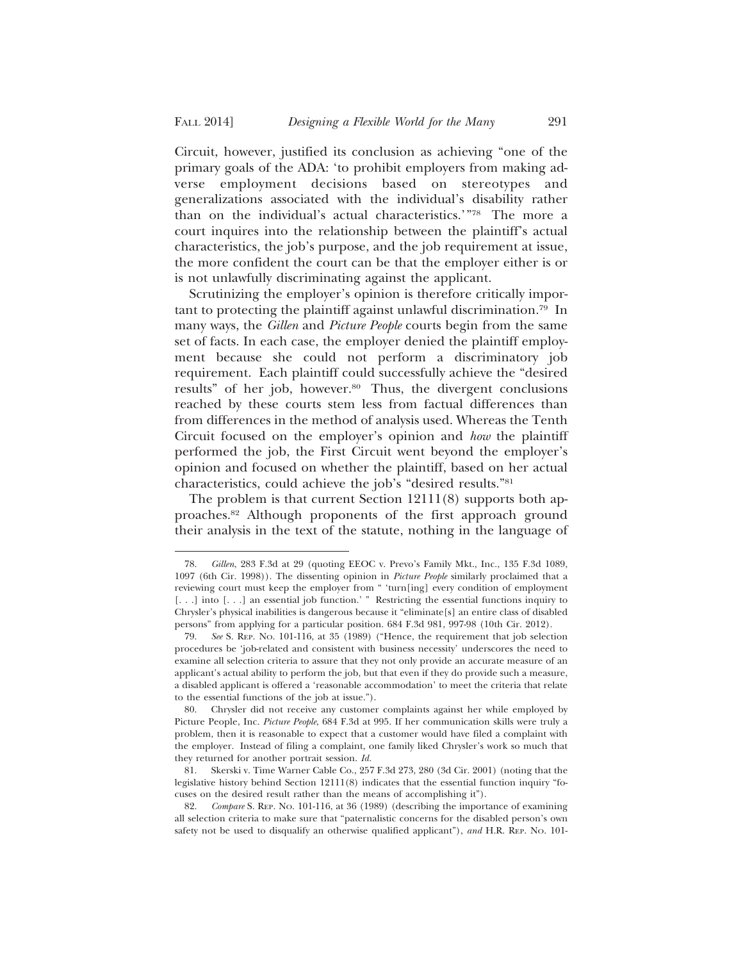Circuit, however, justified its conclusion as achieving "one of the primary goals of the ADA: 'to prohibit employers from making adverse employment decisions based on stereotypes and generalizations associated with the individual's disability rather than on the individual's actual characteristics.'"78 The more a court inquires into the relationship between the plaintiff's actual characteristics, the job's purpose, and the job requirement at issue, the more confident the court can be that the employer either is or is not unlawfully discriminating against the applicant.

Scrutinizing the employer's opinion is therefore critically important to protecting the plaintiff against unlawful discrimination.79 In many ways, the *Gillen* and *Picture People* courts begin from the same set of facts. In each case, the employer denied the plaintiff employment because she could not perform a discriminatory job requirement. Each plaintiff could successfully achieve the "desired results" of her job, however.<sup>80</sup> Thus, the divergent conclusions reached by these courts stem less from factual differences than from differences in the method of analysis used. Whereas the Tenth Circuit focused on the employer's opinion and *how* the plaintiff performed the job, the First Circuit went beyond the employer's opinion and focused on whether the plaintiff, based on her actual characteristics, could achieve the job's "desired results."81

The problem is that current Section 12111(8) supports both approaches.82 Although proponents of the first approach ground their analysis in the text of the statute, nothing in the language of

<sup>78.</sup> *Gillen*, 283 F.3d at 29 (quoting EEOC v. Prevo's Family Mkt., Inc., 135 F.3d 1089, 1097 (6th Cir. 1998)). The dissenting opinion in *Picture People* similarly proclaimed that a reviewing court must keep the employer from " 'turn[ing] every condition of employment [...] into [...] an essential job function.' " Restricting the essential functions inquiry to Chrysler's physical inabilities is dangerous because it "eliminate[s] an entire class of disabled persons" from applying for a particular position. 684 F.3d 981, 997-98 (10th Cir. 2012).

<sup>79.</sup> *See* S. REP. NO. 101-116, at 35 (1989) ("Hence, the requirement that job selection procedures be 'job-related and consistent with business necessity' underscores the need to examine all selection criteria to assure that they not only provide an accurate measure of an applicant's actual ability to perform the job, but that even if they do provide such a measure, a disabled applicant is offered a 'reasonable accommodation' to meet the criteria that relate to the essential functions of the job at issue.").

<sup>80.</sup> Chrysler did not receive any customer complaints against her while employed by Picture People, Inc. *Picture People*, 684 F.3d at 995. If her communication skills were truly a problem, then it is reasonable to expect that a customer would have filed a complaint with the employer. Instead of filing a complaint, one family liked Chrysler's work so much that they returned for another portrait session. *Id.*

<sup>81.</sup> Skerski v. Time Warner Cable Co., 257 F.3d 273, 280 (3d Cir. 2001) (noting that the legislative history behind Section 12111(8) indicates that the essential function inquiry "focuses on the desired result rather than the means of accomplishing it").

<sup>82.</sup> *Compare* S. REP. NO. 101-116, at 36 (1989) (describing the importance of examining all selection criteria to make sure that "paternalistic concerns for the disabled person's own safety not be used to disqualify an otherwise qualified applicant"), *and* H.R. REP. NO. 101-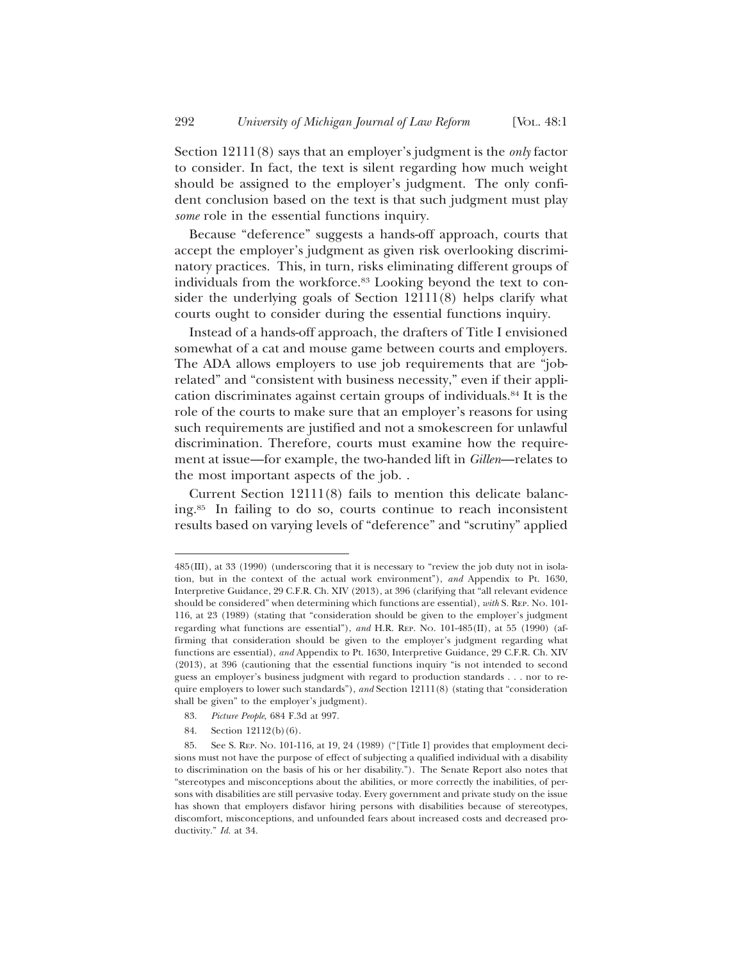Section 12111(8) says that an employer's judgment is the *only* factor to consider. In fact, the text is silent regarding how much weight should be assigned to the employer's judgment. The only confident conclusion based on the text is that such judgment must play *some* role in the essential functions inquiry.

Because "deference" suggests a hands-off approach, courts that accept the employer's judgment as given risk overlooking discriminatory practices. This, in turn, risks eliminating different groups of individuals from the workforce.<sup>83</sup> Looking beyond the text to consider the underlying goals of Section 12111(8) helps clarify what courts ought to consider during the essential functions inquiry.

Instead of a hands-off approach, the drafters of Title I envisioned somewhat of a cat and mouse game between courts and employers. The ADA allows employers to use job requirements that are "jobrelated" and "consistent with business necessity," even if their application discriminates against certain groups of individuals.84 It is the role of the courts to make sure that an employer's reasons for using such requirements are justified and not a smokescreen for unlawful discrimination. Therefore, courts must examine how the requirement at issue—for example, the two-handed lift in *Gillen*—relates to the most important aspects of the job. .

Current Section 12111(8) fails to mention this delicate balancing.85 In failing to do so, courts continue to reach inconsistent results based on varying levels of "deference" and "scrutiny" applied

- 83. *Picture People*, 684 F.3d at 997.
- 84. Section 12112(b)(6).

<sup>485(</sup>III), at 33 (1990) (underscoring that it is necessary to "review the job duty not in isolation, but in the context of the actual work environment"), *and* Appendix to Pt. 1630, Interpretive Guidance, 29 C.F.R. Ch. XIV (2013), at 396 (clarifying that "all relevant evidence should be considered" when determining which functions are essential), *with* S. REP. NO. 101- 116, at 23 (1989) (stating that "consideration should be given to the employer's judgment regarding what functions are essential"), *and* H.R. REP. NO. 101-485(II), at 55 (1990) (affirming that consideration should be given to the employer's judgment regarding what functions are essential), *and* Appendix to Pt. 1630, Interpretive Guidance, 29 C.F.R. Ch. XIV (2013), at 396 (cautioning that the essential functions inquiry "is not intended to second guess an employer's business judgment with regard to production standards . . . nor to require employers to lower such standards"), *and* Section 12111(8) (stating that "consideration shall be given" to the employer's judgment).

<sup>85.</sup> See S. REP. NO. 101-116, at 19, 24 (1989) ("[Title I] provides that employment decisions must not have the purpose of effect of subjecting a qualified individual with a disability to discrimination on the basis of his or her disability."). The Senate Report also notes that "stereotypes and misconceptions about the abilities, or more correctly the inabilities, of persons with disabilities are still pervasive today. Every government and private study on the issue has shown that employers disfavor hiring persons with disabilities because of stereotypes, discomfort, misconceptions, and unfounded fears about increased costs and decreased productivity." *Id.* at 34.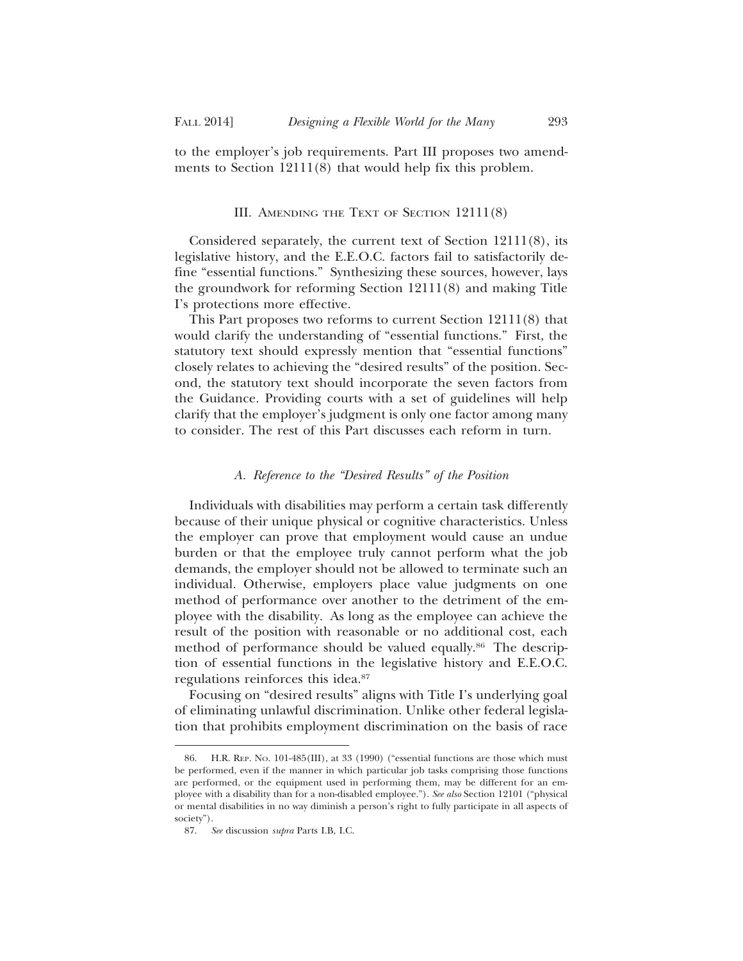to the employer's job requirements. Part III proposes two amendments to Section 12111(8) that would help fix this problem.

## III. AMENDING THE TEXT OF SECTION 12111(8)

Considered separately, the current text of Section 12111(8), its legislative history, and the E.E.O.C. factors fail to satisfactorily define "essential functions." Synthesizing these sources, however, lays the groundwork for reforming Section 12111(8) and making Title I's protections more effective.

This Part proposes two reforms to current Section 12111(8) that would clarify the understanding of "essential functions." First, the statutory text should expressly mention that "essential functions" closely relates to achieving the "desired results" of the position. Second, the statutory text should incorporate the seven factors from the Guidance. Providing courts with a set of guidelines will help clarify that the employer's judgment is only one factor among many to consider. The rest of this Part discusses each reform in turn.

## *A. Reference to the "Desired Results" of the Position*

Individuals with disabilities may perform a certain task differently because of their unique physical or cognitive characteristics. Unless the employer can prove that employment would cause an undue burden or that the employee truly cannot perform what the job demands, the employer should not be allowed to terminate such an individual. Otherwise, employers place value judgments on one method of performance over another to the detriment of the employee with the disability. As long as the employee can achieve the result of the position with reasonable or no additional cost, each method of performance should be valued equally.<sup>86</sup> The description of essential functions in the legislative history and E.E.O.C. regulations reinforces this idea.87

Focusing on "desired results" aligns with Title I's underlying goal of eliminating unlawful discrimination. Unlike other federal legislation that prohibits employment discrimination on the basis of race

<sup>86.</sup> H.R. REP. NO. 101-485(III), at 33 (1990) ("essential functions are those which must be performed, even if the manner in which particular job tasks comprising those functions are performed, or the equipment used in performing them, may be different for an employee with a disability than for a non-disabled employee."). *See also* Section 12101 ("physical or mental disabilities in no way diminish a person's right to fully participate in all aspects of society").

<sup>87.</sup> *See* discussion *supra* Parts I.B, I.C.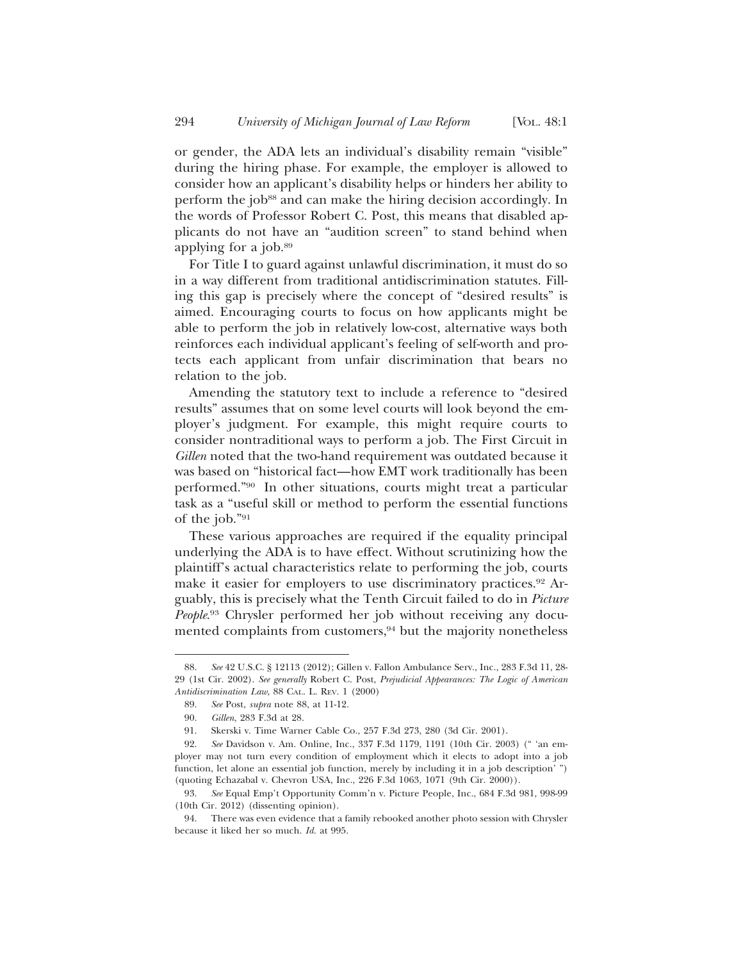or gender, the ADA lets an individual's disability remain "visible" during the hiring phase. For example, the employer is allowed to consider how an applicant's disability helps or hinders her ability to perform the job<sup>88</sup> and can make the hiring decision accordingly. In the words of Professor Robert C. Post, this means that disabled applicants do not have an "audition screen" to stand behind when applying for a job.89

For Title I to guard against unlawful discrimination, it must do so in a way different from traditional antidiscrimination statutes. Filling this gap is precisely where the concept of "desired results" is aimed. Encouraging courts to focus on how applicants might be able to perform the job in relatively low-cost, alternative ways both reinforces each individual applicant's feeling of self-worth and protects each applicant from unfair discrimination that bears no relation to the job.

Amending the statutory text to include a reference to "desired results" assumes that on some level courts will look beyond the employer's judgment. For example, this might require courts to consider nontraditional ways to perform a job. The First Circuit in *Gillen* noted that the two-hand requirement was outdated because it was based on "historical fact—how EMT work traditionally has been performed."90 In other situations, courts might treat a particular task as a "useful skill or method to perform the essential functions of the job."91

These various approaches are required if the equality principal underlying the ADA is to have effect. Without scrutinizing how the plaintiff's actual characteristics relate to performing the job, courts make it easier for employers to use discriminatory practices.92 Arguably, this is precisely what the Tenth Circuit failed to do in *Picture People*. 93 Chrysler performed her job without receiving any documented complaints from customers,<sup>94</sup> but the majority nonetheless

<sup>88.</sup> *See* 42 U.S.C. § 12113 (2012); Gillen v. Fallon Ambulance Serv., Inc., 283 F.3d 11, 28- 29 (1st Cir. 2002). *See generally* Robert C. Post, *Prejudicial Appearances: The Logic of American Antidiscrimination Law*, 88 CAL. L. REV. 1 (2000)

<sup>89.</sup> *See* Post, *supra* note 88, at 11-12.

<sup>90.</sup> *Gillen*, 283 F.3d at 28.

<sup>91.</sup> Skerski v. Time Warner Cable Co., 257 F.3d 273, 280 (3d Cir. 2001).

<sup>92.</sup> *See* Davidson v. Am. Online, Inc., 337 F.3d 1179, 1191 (10th Cir. 2003) (" 'an employer may not turn every condition of employment which it elects to adopt into a job function, let alone an essential job function, merely by including it in a job description' ") (quoting Echazabal v. Chevron USA, Inc., 226 F.3d 1063, 1071 (9th Cir. 2000)).

<sup>93.</sup> *See* Equal Emp't Opportunity Comm'n v. Picture People, Inc., 684 F.3d 981, 998-99 (10th Cir. 2012) (dissenting opinion).

<sup>94.</sup> There was even evidence that a family rebooked another photo session with Chrysler because it liked her so much. *Id.* at 995.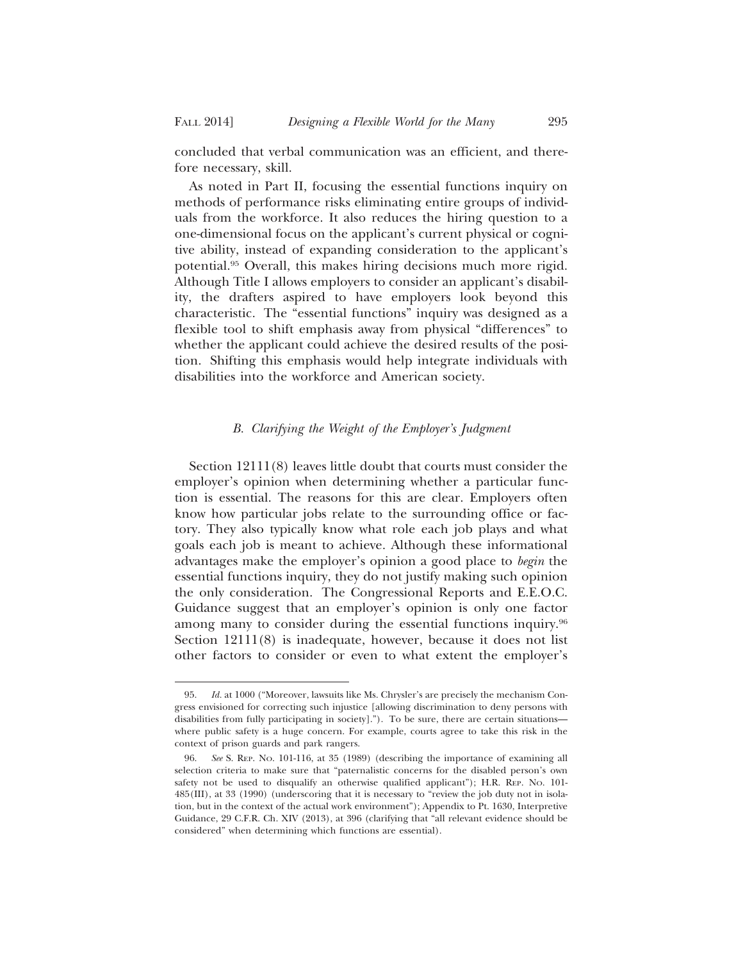concluded that verbal communication was an efficient, and therefore necessary, skill.

As noted in Part II, focusing the essential functions inquiry on methods of performance risks eliminating entire groups of individuals from the workforce. It also reduces the hiring question to a one-dimensional focus on the applicant's current physical or cognitive ability, instead of expanding consideration to the applicant's potential.95 Overall, this makes hiring decisions much more rigid. Although Title I allows employers to consider an applicant's disability, the drafters aspired to have employers look beyond this characteristic. The "essential functions" inquiry was designed as a flexible tool to shift emphasis away from physical "differences" to whether the applicant could achieve the desired results of the position. Shifting this emphasis would help integrate individuals with disabilities into the workforce and American society.

## *B. Clarifying the Weight of the Employer's Judgment*

Section 12111(8) leaves little doubt that courts must consider the employer's opinion when determining whether a particular function is essential. The reasons for this are clear. Employers often know how particular jobs relate to the surrounding office or factory. They also typically know what role each job plays and what goals each job is meant to achieve. Although these informational advantages make the employer's opinion a good place to *begin* the essential functions inquiry, they do not justify making such opinion the only consideration. The Congressional Reports and E.E.O.C. Guidance suggest that an employer's opinion is only one factor among many to consider during the essential functions inquiry.96 Section 12111(8) is inadequate, however, because it does not list other factors to consider or even to what extent the employer's

<sup>95.</sup> *Id.* at 1000 ("Moreover, lawsuits like Ms. Chrysler's are precisely the mechanism Congress envisioned for correcting such injustice [allowing discrimination to deny persons with disabilities from fully participating in society]."). To be sure, there are certain situations where public safety is a huge concern. For example, courts agree to take this risk in the context of prison guards and park rangers.

<sup>96.</sup> *See* S. REP. NO. 101-116, at 35 (1989) (describing the importance of examining all selection criteria to make sure that "paternalistic concerns for the disabled person's own safety not be used to disqualify an otherwise qualified applicant"); H.R. REP. NO. 101- 485(III), at 33 (1990) (underscoring that it is necessary to "review the job duty not in isolation, but in the context of the actual work environment"); Appendix to Pt. 1630, Interpretive Guidance, 29 C.F.R. Ch. XIV (2013), at 396 (clarifying that "all relevant evidence should be considered" when determining which functions are essential).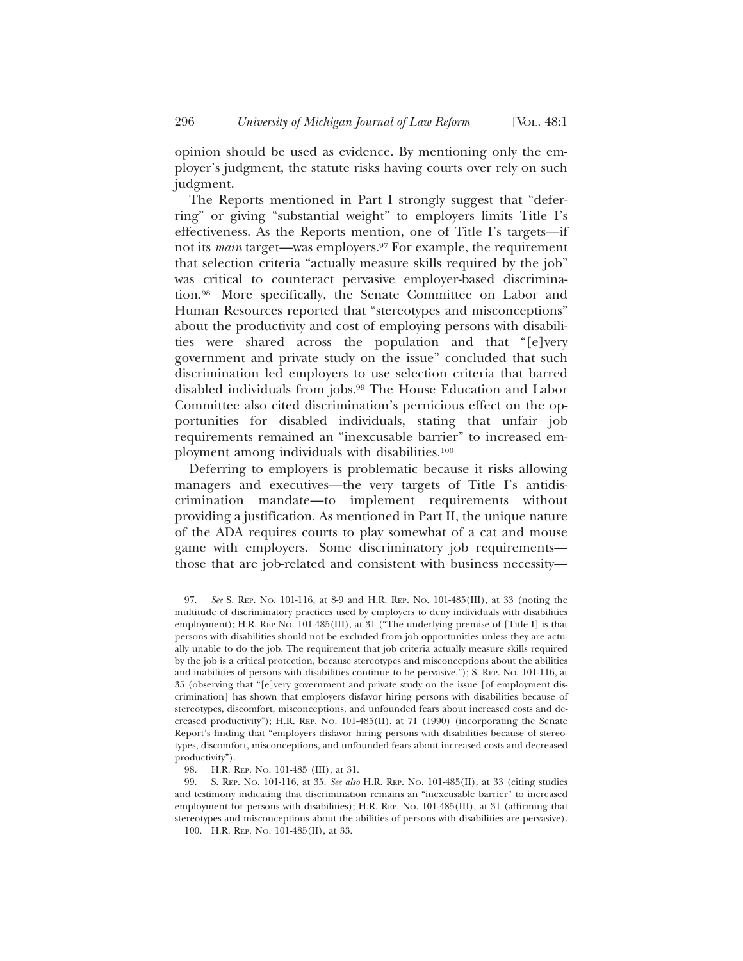opinion should be used as evidence. By mentioning only the employer's judgment, the statute risks having courts over rely on such judgment.

The Reports mentioned in Part I strongly suggest that "deferring" or giving "substantial weight" to employers limits Title I's effectiveness. As the Reports mention, one of Title I's targets—if not its *main* target—was employers.<sup>97</sup> For example, the requirement that selection criteria "actually measure skills required by the job" was critical to counteract pervasive employer-based discrimination.98 More specifically, the Senate Committee on Labor and Human Resources reported that "stereotypes and misconceptions" about the productivity and cost of employing persons with disabilities were shared across the population and that "[e]very government and private study on the issue" concluded that such discrimination led employers to use selection criteria that barred disabled individuals from jobs.99 The House Education and Labor Committee also cited discrimination's pernicious effect on the opportunities for disabled individuals, stating that unfair job requirements remained an "inexcusable barrier" to increased employment among individuals with disabilities.<sup>100</sup>

Deferring to employers is problematic because it risks allowing managers and executives—the very targets of Title I's antidiscrimination mandate—to implement requirements without providing a justification. As mentioned in Part II, the unique nature of the ADA requires courts to play somewhat of a cat and mouse game with employers. Some discriminatory job requirements those that are job-related and consistent with business necessity—

<sup>97.</sup> *See* S. REP. NO. 101-116, at 8-9 and H.R. REP. NO. 101-485(III), at 33 (noting the multitude of discriminatory practices used by employers to deny individuals with disabilities employment); H.R. REP No. 101-485(III), at 31 ("The underlying premise of [Title I] is that persons with disabilities should not be excluded from job opportunities unless they are actually unable to do the job. The requirement that job criteria actually measure skills required by the job is a critical protection, because stereotypes and misconceptions about the abilities and inabilities of persons with disabilities continue to be pervasive."); S. REP. NO. 101-116, at 35 (observing that "[e]very government and private study on the issue [of employment discrimination] has shown that employers disfavor hiring persons with disabilities because of stereotypes, discomfort, misconceptions, and unfounded fears about increased costs and decreased productivity"); H.R. REP. NO. 101-485(II), at 71 (1990) (incorporating the Senate Report's finding that "employers disfavor hiring persons with disabilities because of stereotypes, discomfort, misconceptions, and unfounded fears about increased costs and decreased productivity").

<sup>98.</sup> H.R. REP. NO. 101-485 (III), at 31.

<sup>99.</sup> S. REP. NO. 101-116, at 35. *See also* H.R. REP. NO. 101-485(II), at 33 (citing studies and testimony indicating that discrimination remains an "inexcusable barrier" to increased employment for persons with disabilities); H.R. REP. NO. 101-485(III), at 31 (affirming that stereotypes and misconceptions about the abilities of persons with disabilities are pervasive).

<sup>100.</sup> H.R. REP. NO. 101-485(II), at 33.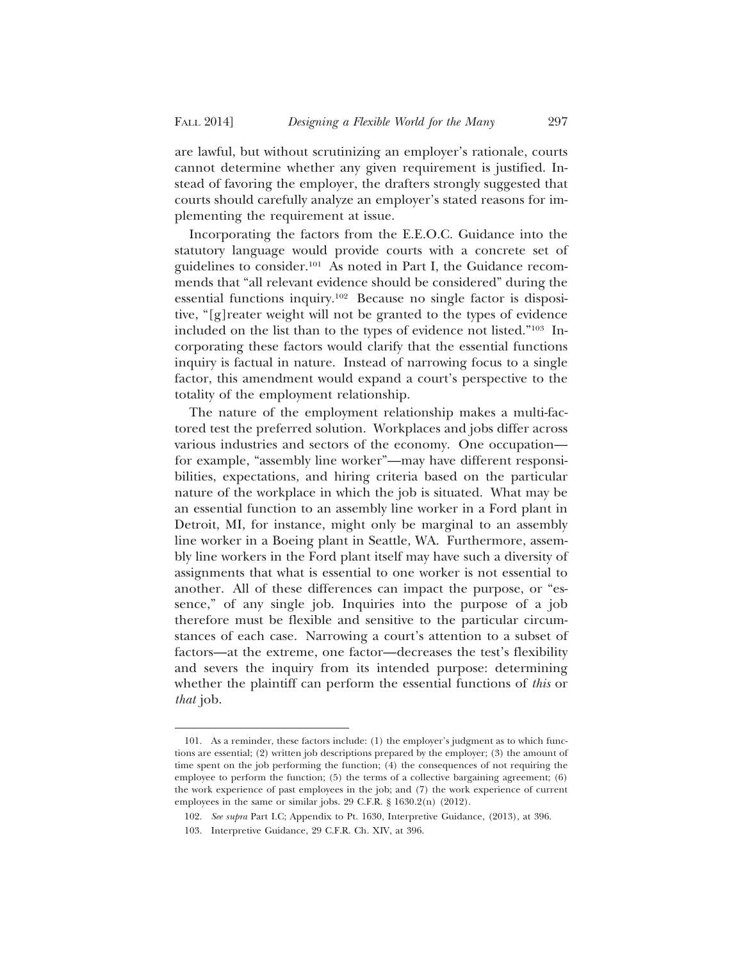are lawful, but without scrutinizing an employer's rationale, courts cannot determine whether any given requirement is justified. Instead of favoring the employer, the drafters strongly suggested that courts should carefully analyze an employer's stated reasons for implementing the requirement at issue.

Incorporating the factors from the E.E.O.C. Guidance into the statutory language would provide courts with a concrete set of guidelines to consider.101 As noted in Part I, the Guidance recommends that "all relevant evidence should be considered" during the essential functions inquiry.102 Because no single factor is dispositive, "[g]reater weight will not be granted to the types of evidence included on the list than to the types of evidence not listed."103 Incorporating these factors would clarify that the essential functions inquiry is factual in nature. Instead of narrowing focus to a single factor, this amendment would expand a court's perspective to the totality of the employment relationship.

The nature of the employment relationship makes a multi-factored test the preferred solution. Workplaces and jobs differ across various industries and sectors of the economy. One occupation for example, "assembly line worker"—may have different responsibilities, expectations, and hiring criteria based on the particular nature of the workplace in which the job is situated. What may be an essential function to an assembly line worker in a Ford plant in Detroit, MI, for instance, might only be marginal to an assembly line worker in a Boeing plant in Seattle, WA. Furthermore, assembly line workers in the Ford plant itself may have such a diversity of assignments that what is essential to one worker is not essential to another. All of these differences can impact the purpose, or "essence," of any single job. Inquiries into the purpose of a job therefore must be flexible and sensitive to the particular circumstances of each case. Narrowing a court's attention to a subset of factors—at the extreme, one factor—decreases the test's flexibility and severs the inquiry from its intended purpose: determining whether the plaintiff can perform the essential functions of *this* or *that* job.

<sup>101.</sup> As a reminder, these factors include: (1) the employer's judgment as to which functions are essential; (2) written job descriptions prepared by the employer; (3) the amount of time spent on the job performing the function; (4) the consequences of not requiring the employee to perform the function; (5) the terms of a collective bargaining agreement; (6) the work experience of past employees in the job; and (7) the work experience of current employees in the same or similar jobs. 29 C.F.R. § 1630.2(n) (2012).

<sup>102.</sup> *See supra* Part I.C; Appendix to Pt. 1630, Interpretive Guidance, (2013), at 396.

<sup>103.</sup> Interpretive Guidance, 29 C.F.R. Ch. XIV, at 396.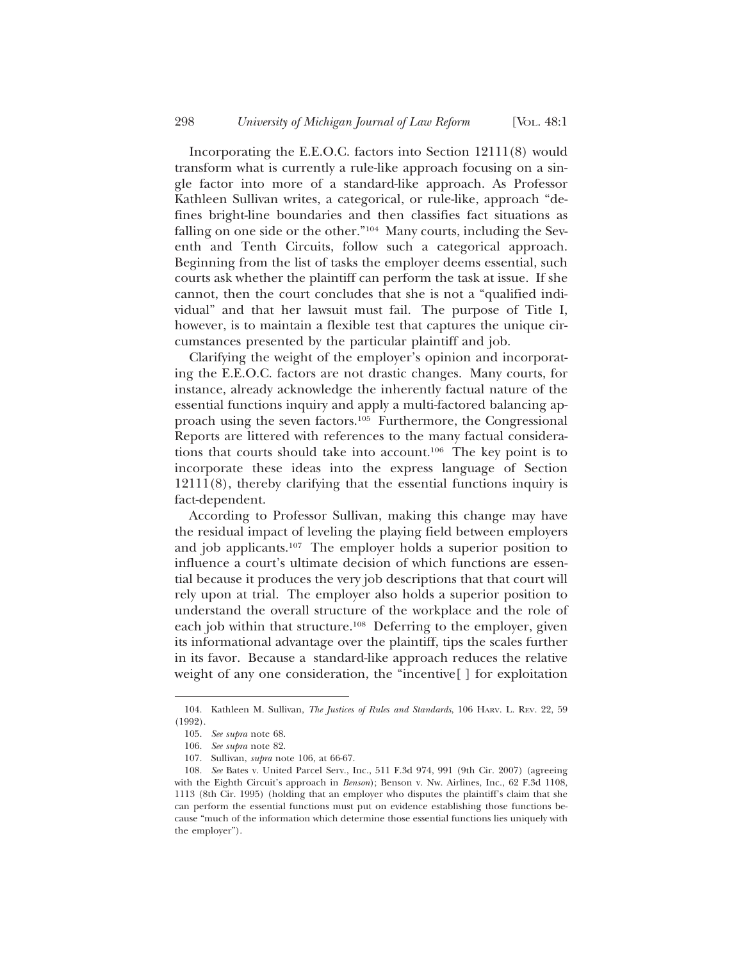Incorporating the E.E.O.C. factors into Section 12111(8) would transform what is currently a rule-like approach focusing on a single factor into more of a standard-like approach. As Professor Kathleen Sullivan writes, a categorical, or rule-like, approach "defines bright-line boundaries and then classifies fact situations as falling on one side or the other."104 Many courts, including the Seventh and Tenth Circuits, follow such a categorical approach. Beginning from the list of tasks the employer deems essential, such courts ask whether the plaintiff can perform the task at issue. If she cannot, then the court concludes that she is not a "qualified individual" and that her lawsuit must fail. The purpose of Title I, however, is to maintain a flexible test that captures the unique circumstances presented by the particular plaintiff and job.

Clarifying the weight of the employer's opinion and incorporating the E.E.O.C. factors are not drastic changes. Many courts, for instance, already acknowledge the inherently factual nature of the essential functions inquiry and apply a multi-factored balancing approach using the seven factors.105 Furthermore, the Congressional Reports are littered with references to the many factual considerations that courts should take into account.106 The key point is to incorporate these ideas into the express language of Section 12111(8), thereby clarifying that the essential functions inquiry is fact-dependent.

According to Professor Sullivan, making this change may have the residual impact of leveling the playing field between employers and job applicants.107 The employer holds a superior position to influence a court's ultimate decision of which functions are essential because it produces the very job descriptions that that court will rely upon at trial. The employer also holds a superior position to understand the overall structure of the workplace and the role of each job within that structure.<sup>108</sup> Deferring to the employer, given its informational advantage over the plaintiff, tips the scales further in its favor. Because a standard-like approach reduces the relative weight of any one consideration, the "incentive[ ] for exploitation

<sup>104.</sup> Kathleen M. Sullivan, *The Justices of Rules and Standards*, 106 HARV. L. REV. 22, 59 (1992).

<sup>105.</sup> *See supra* note 68.

<sup>106.</sup> *See supra* note 82.

<sup>107.</sup> Sullivan, *supra* note 106, at 66-67.

<sup>108.</sup> *See* Bates v. United Parcel Serv., Inc., 511 F.3d 974, 991 (9th Cir. 2007) (agreeing with the Eighth Circuit's approach in *Benson*); Benson v. Nw. Airlines, Inc., 62 F.3d 1108, 1113 (8th Cir. 1995) (holding that an employer who disputes the plaintiff's claim that she can perform the essential functions must put on evidence establishing those functions because "much of the information which determine those essential functions lies uniquely with the employer").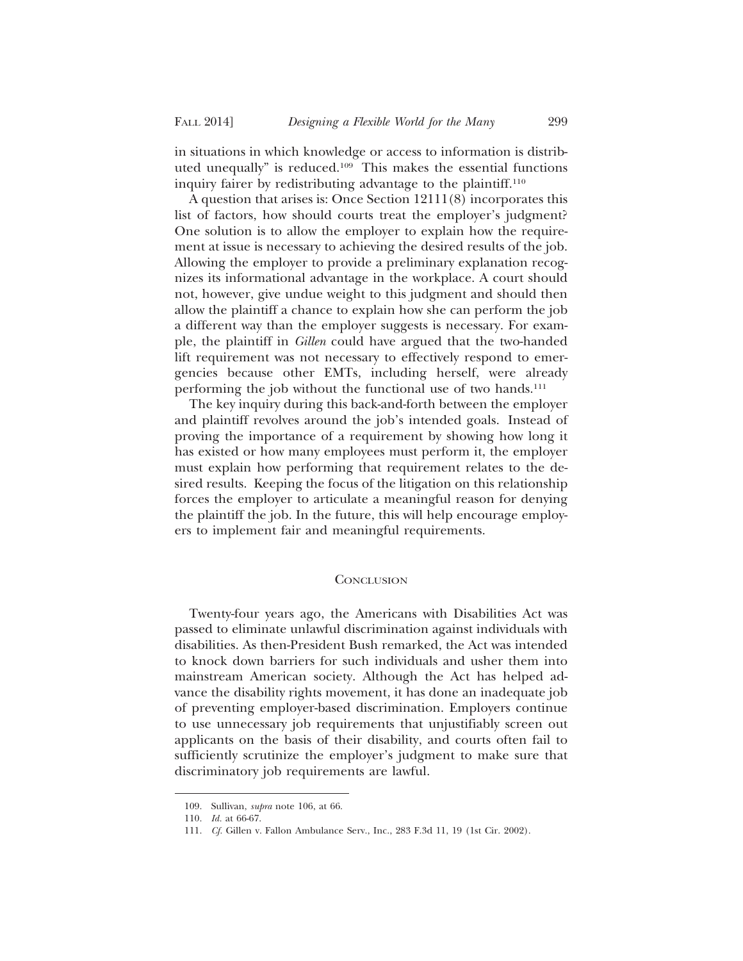in situations in which knowledge or access to information is distributed unequally" is reduced.109 This makes the essential functions inquiry fairer by redistributing advantage to the plaintiff.110

A question that arises is: Once Section 12111(8) incorporates this list of factors, how should courts treat the employer's judgment? One solution is to allow the employer to explain how the requirement at issue is necessary to achieving the desired results of the job. Allowing the employer to provide a preliminary explanation recognizes its informational advantage in the workplace. A court should not, however, give undue weight to this judgment and should then allow the plaintiff a chance to explain how she can perform the job a different way than the employer suggests is necessary. For example, the plaintiff in *Gillen* could have argued that the two-handed lift requirement was not necessary to effectively respond to emergencies because other EMTs, including herself, were already performing the job without the functional use of two hands.<sup>111</sup>

The key inquiry during this back-and-forth between the employer and plaintiff revolves around the job's intended goals. Instead of proving the importance of a requirement by showing how long it has existed or how many employees must perform it, the employer must explain how performing that requirement relates to the desired results. Keeping the focus of the litigation on this relationship forces the employer to articulate a meaningful reason for denying the plaintiff the job. In the future, this will help encourage employers to implement fair and meaningful requirements.

## **CONCLUSION**

Twenty-four years ago, the Americans with Disabilities Act was passed to eliminate unlawful discrimination against individuals with disabilities. As then-President Bush remarked, the Act was intended to knock down barriers for such individuals and usher them into mainstream American society. Although the Act has helped advance the disability rights movement, it has done an inadequate job of preventing employer-based discrimination. Employers continue to use unnecessary job requirements that unjustifiably screen out applicants on the basis of their disability, and courts often fail to sufficiently scrutinize the employer's judgment to make sure that discriminatory job requirements are lawful.

<sup>109.</sup> Sullivan, *supra* note 106, at 66.

<sup>110.</sup> *Id.* at 66-67.

<sup>111.</sup> *Cf.* Gillen v. Fallon Ambulance Serv., Inc., 283 F.3d 11, 19 (1st Cir. 2002).